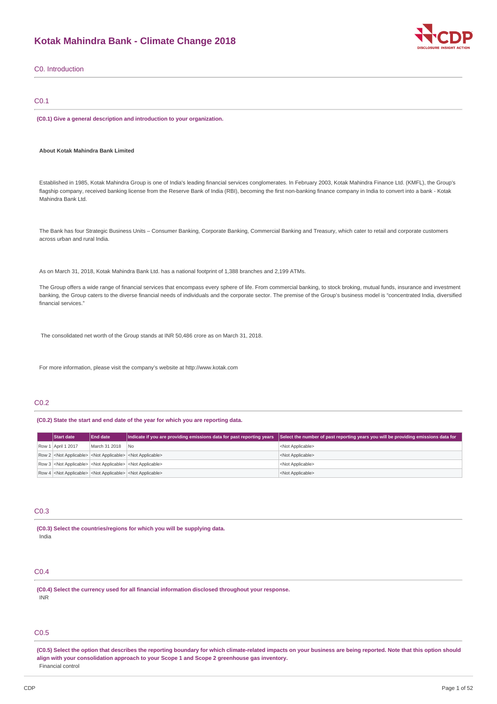### **Kotak Mahindra Bank - Climate Change 2018**



| C0. Introduction                                                                                                                                                                                                                                                                                                                                                                      |  |
|---------------------------------------------------------------------------------------------------------------------------------------------------------------------------------------------------------------------------------------------------------------------------------------------------------------------------------------------------------------------------------------|--|
| CO.1                                                                                                                                                                                                                                                                                                                                                                                  |  |
| (C0.1) Give a general description and introduction to your organization.                                                                                                                                                                                                                                                                                                              |  |
| About Kotak Mahindra Bank Limited                                                                                                                                                                                                                                                                                                                                                     |  |
| Established in 1985, Kotak Mahindra Group is one of India's leading financial services conglomerates. In February 2003, Kotak Mahindra Finance Ltd. (KMFL), the Group's<br>flagship company, received banking license from the Reserve Bank of India (RBI), becoming the first non-banking finance company in India to convert into a bank - Kotak<br>Mahindra Bank Ltd.              |  |
| The Bank has four Strategic Business Units - Consumer Banking, Corporate Banking, Commercial Banking and Treasury, which cater to retail and corporate customers<br>across urban and rural India.                                                                                                                                                                                     |  |
| As on March 31, 2018, Kotak Mahindra Bank Ltd. has a national footprint of 1,388 branches and 2,199 ATMs.                                                                                                                                                                                                                                                                             |  |
| The Group offers a wide range of financial services that encompass every sphere of life. From commercial banking, to stock broking, mutual funds, insurance and investment<br>banking, the Group caters to the diverse financial needs of individuals and the corporate sector. The premise of the Group's business model is "concentrated India, diversified<br>financial services." |  |
| The consolidated net worth of the Group stands at INR 50,486 crore as on March 31, 2018.                                                                                                                                                                                                                                                                                              |  |

For more information, please visit the company's website at http://www.kotak.com

### C0.2

### **(C0.2) State the start and end date of the year for which you are reporting data.**

| <b>Start date</b>  | <b>End date</b> | Indicate if you are providing emissions data for past reporting years               | Select the number of past reporting years you will be providing emissions data for |
|--------------------|-----------------|-------------------------------------------------------------------------------------|------------------------------------------------------------------------------------|
| Row 1 April 1 2017 | March 31 2018   | N <sub>0</sub>                                                                      | <not applicable=""></not>                                                          |
|                    |                 | Row 2 <not applicable=""> <not applicable=""> <not applicable=""></not></not></not> | <not applicable=""></not>                                                          |
|                    |                 | Row 3 <not applicable=""> <not applicable=""> <not applicable=""></not></not></not> | <not applicable=""></not>                                                          |
|                    |                 | Row 4 <not applicable=""> <not applicable=""> <not applicable=""></not></not></not> | <not applicable=""></not>                                                          |

### C0.3

**(C0.3) Select the countries/regions for which you will be supplying data.** India

### C0.4

**(C0.4) Select the currency used for all financial information disclosed throughout your response.** INR

### C0.5

(C0.5) Select the option that describes the reporting boundary for which climate-related impacts on your business are being reported. Note that this option should **align with your consolidation approach to your Scope 1 and Scope 2 greenhouse gas inventory.** Financial control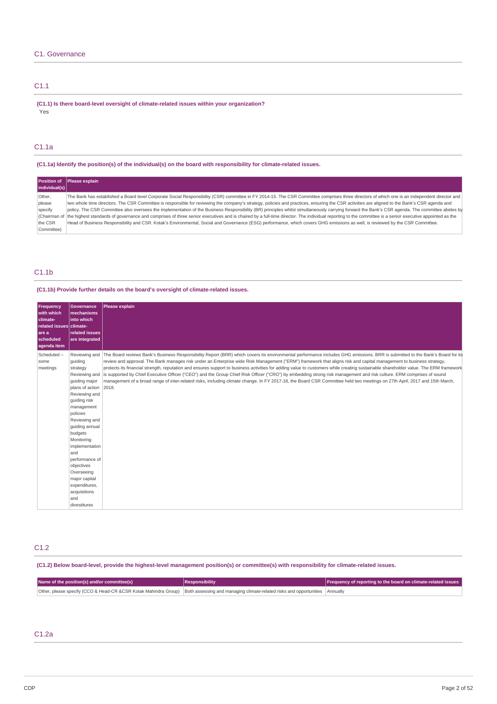### C1. Governance

### C1.1

**(C1.1) Is there board-level oversight of climate-related issues within your organization?** Yes

### C1.1a

**(C1.1a) Identify the position(s) of the individual(s) on the board with responsibility for climate-related issues.**

| individual(s) | Position of Please explain                                                                                                                                                                                         |
|---------------|--------------------------------------------------------------------------------------------------------------------------------------------------------------------------------------------------------------------|
| Other,        | The Bank has established a Board level Corporate Social Responsibility (CSR) committee in FY 2014-15. The CSR Committee comprises three directors of which one is an independent director and                      |
| please        | wo whole time directors. The CSR Committee is responsible for reviewing the company's strategy, policies and practices, ensuring the CSR activities are aligned to the Bank's CSR agenda and                       |
| specify       | policy. The CSR Committee also oversees the implementation of the Business Responsibility (BR) principles whilst simultaneously carrying forward the Bank's CSR agenda. The committee abides by                    |
|               | (Chairman of the highest standards of governance and comprises of three senior executives and is chaired by a full-time director. The individual reporting to the committee is a senior executive appointed as the |
| the CSR       | Head of Business Responsibility and CSR. Kotak's Environmental, Social and Governance (ESG) performance, which covers GHG emissions as well, is reviewed by the CSR Committee.                                     |
| Committee)    |                                                                                                                                                                                                                    |

### C1.1b

### **(C1.1b) Provide further details on the board's oversight of climate-related issues.**

| Frequency<br>with which<br>climate-<br>related issues climate-<br>are a<br>scheduled<br>aqenda item                    | <b>Governance</b><br><b>Imechanisms</b><br>into which<br><b>related issues</b><br>are integrated                                                                                                                                                              | Please explain                                                                                                                                                                                                                                                                                                                                                                                                                                                                                                                                                                                                                                                                                                                                                                                                                                                                                                    |
|------------------------------------------------------------------------------------------------------------------------|---------------------------------------------------------------------------------------------------------------------------------------------------------------------------------------------------------------------------------------------------------------|-------------------------------------------------------------------------------------------------------------------------------------------------------------------------------------------------------------------------------------------------------------------------------------------------------------------------------------------------------------------------------------------------------------------------------------------------------------------------------------------------------------------------------------------------------------------------------------------------------------------------------------------------------------------------------------------------------------------------------------------------------------------------------------------------------------------------------------------------------------------------------------------------------------------|
| Scheduled-<br>quiding<br>some<br>meetings<br>strategy<br>policies<br>budgets<br>Monitoring<br>and<br>objectives<br>and | Reviewing and<br>quiding major<br>plans of action 2018.<br>Reviewing and<br>quiding risk<br>management<br>Reviewing and<br>guiding annual<br>implementation<br>performance of<br>Overseeing<br>major capital<br>expenditures,<br>acquisitions<br>divestitures | Reviewing and The Board reviews Bank's Business Responsibility Report (BRR) which covers its environmental performance includes GHG emissions. BRR is submitted to the Bank's Board for its<br>review and approval. The Bank manages risk under an Enterprise wide Risk Management ("ERM") framework that aligns risk and capital management to business strategy,<br>protects its financial strength, reputation and ensures support to business activities for adding value to customers while creating sustainable shareholder value. The ERM framework<br>is supported by Chief Executive Officer ("CEO") and the Group Chief Risk Officer ("CRO") by embedding strong risk management and risk culture. ERM comprises of sound<br>management of a broad range of inter-related risks, including climate change. In FY 2017-18, the Board CSR Committee held two meetings on 27th April, 2017 and 15th March, |

### C1.2

(C1.2) Below board-level, provide the highest-level management position(s) or committee(s) with responsibility for climate-related issues.

| Name of the position(s) and/or committee(s)                                                                                                      | <b>Responsibility</b> | Frequency of reporting to the board on climate-related issues |
|--------------------------------------------------------------------------------------------------------------------------------------------------|-----------------------|---------------------------------------------------------------|
| Other, please specify (CCO & Head-CR &CSR Kotak Mahindra Group)   Both assessing and managing climate-related risks and opportunities   Annually |                       |                                                               |

### C1.2a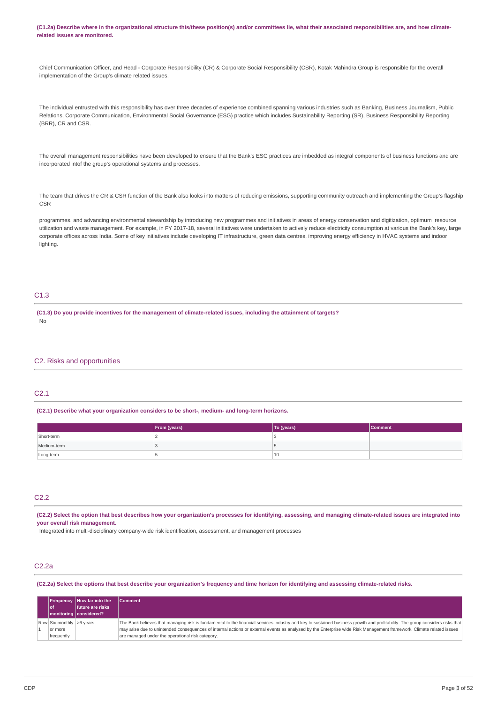(C1.2a) Describe where in the organizational structure this/these position(s) and/or committees lie, what their associated responsibilities are, and how climate**related issues are monitored.**

Chief Communication Officer, and Head - Corporate Responsibility (CR) & Corporate Social Responsibility (CSR), Kotak Mahindra Group is responsible for the overall implementation of the Group's climate related issues.

The individual entrusted with this responsibility has over three decades of experience combined spanning various industries such as Banking, Business Journalism, Public Relations, Corporate Communication, Environmental Social Governance (ESG) practice which includes Sustainability Reporting (SR), Business Responsibility Reporting (BRR), CR and CSR.

The overall management responsibilities have been developed to ensure that the Bank's ESG practices are imbedded as integral components of business functions and are incorporated intof the group's operational systems and processes.

The team that drives the CR & CSR function of the Bank also looks into matters of reducing emissions, supporting community outreach and implementing the Group's flagship CSR

programmes, and advancing environmental stewardship by introducing new programmes and initiatives in areas of energy conservation and digitization, optimum resource utilization and waste management. For example, in FY 2017-18, several initiatives were undertaken to actively reduce electricity consumption at various the Bank's key, large corporate offices across India. Some of key initiatives include developing IT infrastructure, green data centres, improving energy efficiency in HVAC systems and indoor lighting

### C1.3

(C1.3) Do you provide incentives for the management of climate-related issues, including the attainment of targets? No

### C2. Risks and opportunities

### $C<sub>2</sub>1$

#### **(C2.1) Describe what your organization considers to be short-, medium- and long-term horizons.**

|             | From (years) | To (years) | <b>Comment</b> |
|-------------|--------------|------------|----------------|
| Short-term  |              |            |                |
| Medium-term |              |            |                |
| Long-term   |              | 10         |                |

### C2.2

(C2.2) Select the option that best describes how your organization's processes for identifying, assessing, and managing climate-related issues are integrated into **your overall risk management.**

Integrated into multi-disciplinary company-wide risk identification, assessment, and management processes

### C2.2a

(C2.2a) Select the options that best describe your organization's frequency and time horizon for identifying and assessing climate-related risks.

| l of                                              | <b>Frequency How far into the</b><br>future are risks<br>  monitoring considered? | <b>Comment</b>                                                                                                                                                                                                                                                                                                                                                                                            |
|---------------------------------------------------|-----------------------------------------------------------------------------------|-----------------------------------------------------------------------------------------------------------------------------------------------------------------------------------------------------------------------------------------------------------------------------------------------------------------------------------------------------------------------------------------------------------|
| Row Six-monthly >6 years<br>or more<br>frequently |                                                                                   | The Bank believes that managing risk is fundamental to the financial services industry and key to sustained business growth and profitability. The group considers risks that<br>may arise due to unintended consequences of internal actions or external events as analysed by the Enterprise wide Risk Management framework. Climate related issues<br>are managed under the operational risk category. |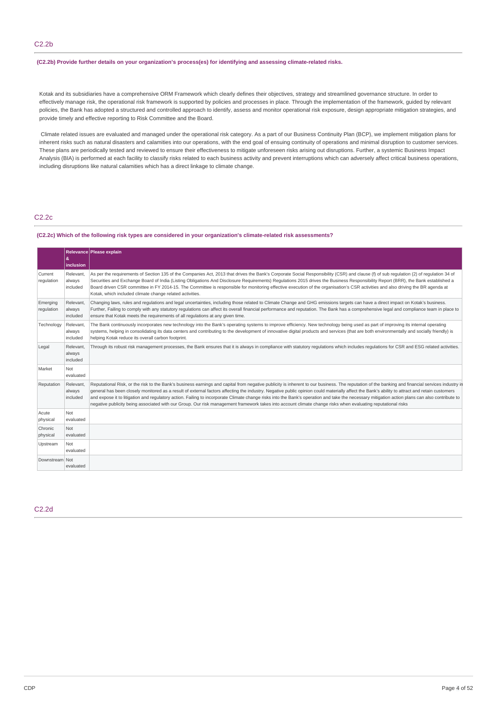### **(C2.2b) Provide further details on your organization's process(es) for identifying and assessing climate-related risks.**

Kotak and its subsidiaries have a comprehensive ORM Framework which clearly defines their objectives, strategy and streamlined governance structure. In order to effectively manage risk, the operational risk framework is supported by policies and processes in place. Through the implementation of the framework, guided by relevant policies, the Bank has adopted a structured and controlled approach to identify, assess and monitor operational risk exposure, design appropriate mitigation strategies, and provide timely and effective reporting to Risk Committee and the Board.

Climate related issues are evaluated and managed under the operational risk category. As a part of our Business Continuity Plan (BCP), we implement mitigation plans for inherent risks such as natural disasters and calamities into our operations, with the end goal of ensuing continuity of operations and minimal disruption to customer services. These plans are periodically tested and reviewed to ensure their effectiveness to mitigate unforeseen risks arising out disruptions. Further, a systemic Business Impact Analysis (BIA) is performed at each facility to classify risks related to each business activity and prevent interruptions which can adversely affect critical business operations, including disruptions like natural calamities which has a direct linkage to climate change.

### C2.2c

#### **(C2.2c) Which of the following risk types are considered in your organization's climate-related risk assessments?**

|                        | &                               | Relevance Please explain                                                                                                                                                                                                                                                                                                                                                                                                                                                                                                                                                                                                                                                                                                                                            |
|------------------------|---------------------------------|---------------------------------------------------------------------------------------------------------------------------------------------------------------------------------------------------------------------------------------------------------------------------------------------------------------------------------------------------------------------------------------------------------------------------------------------------------------------------------------------------------------------------------------------------------------------------------------------------------------------------------------------------------------------------------------------------------------------------------------------------------------------|
|                        | inclusion                       |                                                                                                                                                                                                                                                                                                                                                                                                                                                                                                                                                                                                                                                                                                                                                                     |
| Current<br>regulation  | Relevant.<br>always<br>included | As per the requirements of Section 135 of the Companies Act, 2013 that drives the Bank's Corporate Social Responsibility (CSR) and clause (f) of sub requlation (2) of requlation 34 of<br>Securities and Exchange Board of India (Listing Obligations And Disclosure Requirements) Regulations 2015 drives the Business Responsibility Report (BRR), the Bank established a<br>Board driven CSR committee in FY 2014-15. The Committee is responsible for monitoring effective execution of the organisation's CSR activities and also driving the BR agenda at<br>Kotak, which included climate change related activities.                                                                                                                                        |
| Emerging<br>regulation | Relevant.<br>always<br>included | Changing laws, rules and requlations and legal uncertainties, including those related to Climate Change and GHG emissions targets can have a direct impact on Kotak's business.<br>Further, Failing to comply with any statutory regulations can affect its overall financial performance and reputation. The Bank has a comprehensive legal and compliance team in place to<br>ensure that Kotak meets the requirements of all requlations at any given time.                                                                                                                                                                                                                                                                                                      |
| Technology             | Relevant,<br>always<br>included | The Bank continuously incorporates new technology into the Bank's operating systems to improve efficiency. New technology being used as part of improving its internal operating<br>systems, helping in consolidating its data centers and contributing to the development of innovative digital products and services (that are both environmentally and socially friendly) is<br>helping Kotak reduce its overall carbon footprint.                                                                                                                                                                                                                                                                                                                               |
| Legal                  | Relevant,<br>always<br>included | Through its robust risk management processes, the Bank ensures that it is always in compliance with statutory regulations which includes regulations for CSR and ESG related activities.                                                                                                                                                                                                                                                                                                                                                                                                                                                                                                                                                                            |
| Market                 | Not<br>evaluated                |                                                                                                                                                                                                                                                                                                                                                                                                                                                                                                                                                                                                                                                                                                                                                                     |
| Reputation             | Relevant.<br>always<br>included | Reputational Risk, or the risk to the Bank's business earnings and capital from negative publicity is inherent to our business. The reputation of the banking and financial services industry in<br>general has been closely monitored as a result of external factors affecting the industry. Negative public opinion could materially affect the Bank's ability to attract and retain customers<br>and expose it to litigation and regulatory action. Failing to incorporate Climate change risks into the Bank's operation and take the necessary mitigation action plans can also contribute to<br>negative publicity being associated with our Group. Our risk management framework takes into account climate change risks when evaluating reputational risks |
| Acute<br>physical      | Not<br>evaluated                |                                                                                                                                                                                                                                                                                                                                                                                                                                                                                                                                                                                                                                                                                                                                                                     |
| Chronic<br>physical    | Not<br>evaluated                |                                                                                                                                                                                                                                                                                                                                                                                                                                                                                                                                                                                                                                                                                                                                                                     |
| Upstream               | Not<br>evaluated                |                                                                                                                                                                                                                                                                                                                                                                                                                                                                                                                                                                                                                                                                                                                                                                     |
| Downstream Not         | evaluated                       |                                                                                                                                                                                                                                                                                                                                                                                                                                                                                                                                                                                                                                                                                                                                                                     |

### C2.2d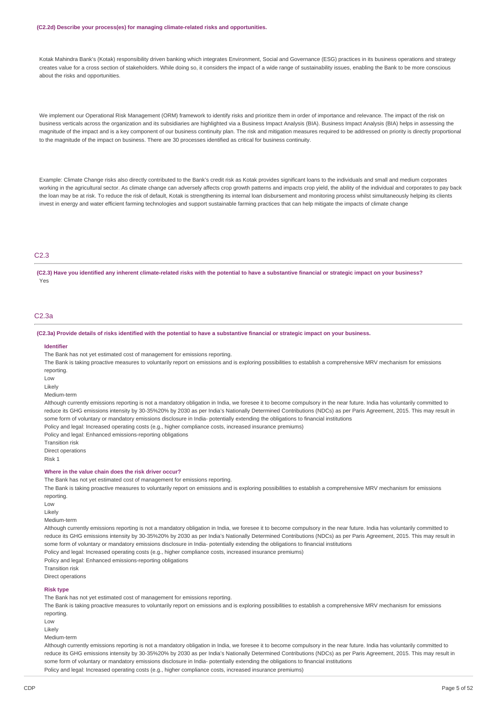#### **(C2.2d) Describe your process(es) for managing climate-related risks and opportunities.**

Kotak Mahindra Bank's (Kotak) responsibility driven banking which integrates Environment, Social and Governance (ESG) practices in its business operations and strategy creates value for a cross section of stakeholders. While doing so, it considers the impact of a wide range of sustainability issues, enabling the Bank to be more conscious about the risks and opportunities.

We implement our Operational Risk Management (ORM) framework to identify risks and prioritize them in order of importance and relevance. The impact of the risk on business verticals across the organization and its subsidiaries are highlighted via a Business Impact Analysis (BIA). Business Impact Analysis (BIA) helps in assessing the magnitude of the impact and is a key component of our business continuity plan. The risk and mitigation measures required to be addressed on priority is directly proportional to the magnitude of the impact on business. There are 30 processes identified as critical for business continuity.

Example: Climate Change risks also directly contributed to the Bank's credit risk as Kotak provides significant loans to the individuals and small and medium corporates working in the agricultural sector. As climate change can adversely affects crop growth patterns and impacts crop yield, the ability of the individual and corporates to pay back the loan may be at risk. To reduce the risk of default, Kotak is strengthening its internal loan disbursement and monitoring process whilst simultaneously helping its clients invest in energy and water efficient farming technologies and support sustainable farming practices that can help mitigate the impacts of climate change

### C2.3

(C2.3) Have you identified any inherent climate-related risks with the potential to have a substantive financial or strategic impact on your business? Yes

#### C2.3a

#### (C2.3a) Provide details of risks identified with the potential to have a substantive financial or strategic impact on your business.

#### **Identifier**

The Bank has not yet estimated cost of management for emissions reporting.

The Bank is taking proactive measures to voluntarily report on emissions and is exploring possibilities to establish a comprehensive MRV mechanism for emissions reporting.

Low

Likely

Medium-term

Although currently emissions reporting is not a mandatory obligation in India, we foresee it to become compulsory in the near future. India has voluntarily committed to reduce its GHG emissions intensity by 30-35%20% by 2030 as per India's Nationally Determined Contributions (NDCs) as per Paris Agreement, 2015. This may result in some form of voluntary or mandatory emissions disclosure in India- potentially extending the obligations to financial institutions

Policy and legal: Increased operating costs (e.g., higher compliance costs, increased insurance premiums)

Policy and legal: Enhanced emissions-reporting obligations

Transition risk

Direct operations Risk 1

### **Where in the value chain does the risk driver occur?**

The Bank has not yet estimated cost of management for emissions reporting.

The Bank is taking proactive measures to voluntarily report on emissions and is exploring possibilities to establish a comprehensive MRV mechanism for emissions reporting.

- Low
- Likely

Medium-term

Although currently emissions reporting is not a mandatory obligation in India, we foresee it to become compulsory in the near future. India has voluntarily committed to reduce its GHG emissions intensity by 30-35%20% by 2030 as per India's Nationally Determined Contributions (NDCs) as per Paris Agreement, 2015. This may result in some form of voluntary or mandatory emissions disclosure in India- potentially extending the obligations to financial institutions Policy and legal: Increased operating costs (e.g., higher compliance costs, increased insurance premiums)

Policy and legal: Enhanced emissions-reporting obligations

Transition risk

Direct operations

#### **Risk type**

The Bank has not yet estimated cost of management for emissions reporting.

The Bank is taking proactive measures to voluntarily report on emissions and is exploring possibilities to establish a comprehensive MRV mechanism for emissions reporting.

Low

Likely

Medium-term

Although currently emissions reporting is not a mandatory obligation in India, we foresee it to become compulsory in the near future. India has voluntarily committed to reduce its GHG emissions intensity by 30-35%20% by 2030 as per India's Nationally Determined Contributions (NDCs) as per Paris Agreement, 2015. This may result in some form of voluntary or mandatory emissions disclosure in India- potentially extending the obligations to financial institutions Policy and legal: Increased operating costs (e.g., higher compliance costs, increased insurance premiums)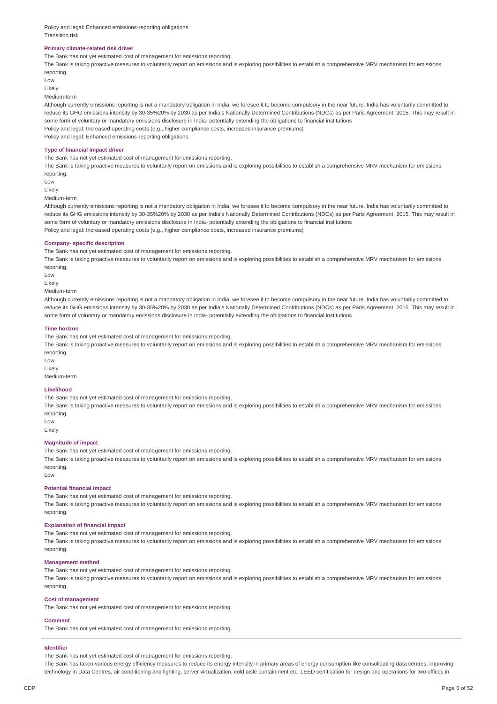Policy and legal: Enhanced emissions-reporting obligations Transition risk

#### **Primary climate-related risk driver**

The Bank has not yet estimated cost of management for emissions reporting.

The Bank is taking proactive measures to voluntarily report on emissions and is exploring possibilities to establish a comprehensive MRV mechanism for emissions reporting.

Low Likely

Medium-term

Although currently emissions reporting is not a mandatory obligation in India, we foresee it to become compulsory in the near future. India has voluntarily committed to reduce its GHG emissions intensity by 30-35%20% by 2030 as per India's Nationally Determined Contributions (NDCs) as per Paris Agreement, 2015. This may result in some form of voluntary or mandatory emissions disclosure in India- potentially extending the obligations to financial institutions Policy and legal: Increased operating costs (e.g., higher compliance costs, increased insurance premiums) Policy and legal: Enhanced emissions-reporting obligations

#### **Type of financial impact driver**

The Bank has not yet estimated cost of management for emissions reporting.

The Bank is taking proactive measures to voluntarily report on emissions and is exploring possibilities to establish a comprehensive MRV mechanism for emissions reporting.

 $\overline{L}$   $\cap$ 

Likely

Medium-term

Although currently emissions reporting is not a mandatory obligation in India, we foresee it to become compulsory in the near future. India has voluntarily committed to reduce its GHG emissions intensity by 30-35%20% by 2030 as per India's Nationally Determined Contributions (NDCs) as per Paris Agreement, 2015. This may result in some form of voluntary or mandatory emissions disclosure in India- potentially extending the obligations to financial institutions Policy and legal: Increased operating costs (e.g., higher compliance costs, increased insurance premiums)

#### **Company- specific description**

The Bank has not yet estimated cost of management for emissions reporting.

The Bank is taking proactive measures to voluntarily report on emissions and is exploring possibilities to establish a comprehensive MRV mechanism for emissions reporting.

Low

Likely

#### Medium-term

Although currently emissions reporting is not a mandatory obligation in India, we foresee it to become compulsory in the near future. India has voluntarily committed to reduce its GHG emissions intensity by 30-35%20% by 2030 as per India's Nationally Determined Contributions (NDCs) as per Paris Agreement, 2015. This may result in some form of voluntary or mandatory emissions disclosure in India- potentially extending the obligations to financial institutions

#### **Time horizon**

The Bank has not yet estimated cost of management for emissions reporting.

The Bank is taking proactive measures to voluntarily report on emissions and is exploring possibilities to establish a comprehensive MRV mechanism for emissions reporting.

Low Likely

Medium-term

#### **Likelihood**

The Bank has not yet estimated cost of management for emissions reporting.

The Bank is taking proactive measures to voluntarily report on emissions and is exploring possibilities to establish a comprehensive MRV mechanism for emissions reporting.

Low

Likely

### **Magnitude of impact**

The Bank has not yet estimated cost of management for emissions reporting.

The Bank is taking proactive measures to voluntarily report on emissions and is exploring possibilities to establish a comprehensive MRV mechanism for emissions reporting.

 $\overline{L}$  OW

#### **Potential financial impact**

The Bank has not yet estimated cost of management for emissions reporting.

The Bank is taking proactive measures to voluntarily report on emissions and is exploring possibilities to establish a comprehensive MRV mechanism for emissions reporting.

#### **Explanation of financial impact**

The Bank has not yet estimated cost of management for emissions reporting.

The Bank is taking proactive measures to voluntarily report on emissions and is exploring possibilities to establish a comprehensive MRV mechanism for emissions reporting.

#### **Management method**

The Bank has not yet estimated cost of management for emissions reporting.

The Bank is taking proactive measures to voluntarily report on emissions and is exploring possibilities to establish a comprehensive MRV mechanism for emissions reporting.

#### **Cost of management**

The Bank has not yet estimated cost of management for emissions reporting.

#### **Comment**

The Bank has not yet estimated cost of management for emissions reporting.

#### **Identifier**

The Bank has not yet estimated cost of management for emissions reporting.

The Bank has taken various energy efficiency measures to reduce its energy intensity in primary areas of energy consumption like consolidating data centres, improving technology in Data Centres, air conditioning and lighting, server virtualization, cold aisle containment etc. LEED certification for design and operations for two offices in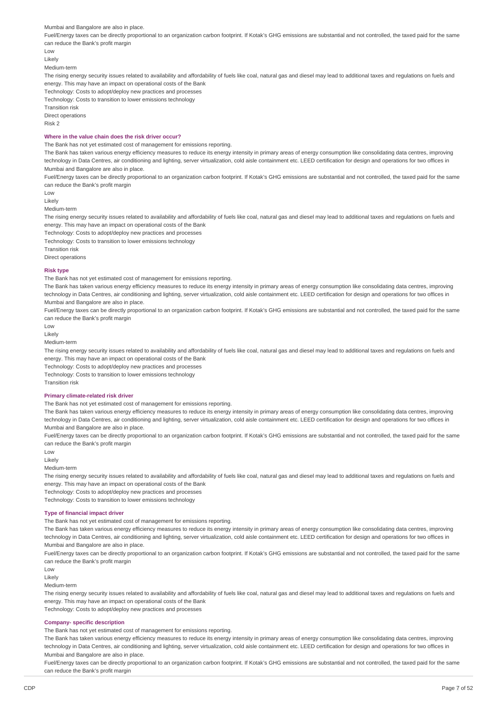Mumbai and Bangalore are also in place.

Fuel/Energy taxes can be directly proportional to an organization carbon footprint. If Kotak's GHG emissions are substantial and not controlled, the taxed paid for the same can reduce the Bank's profit margin

Low

Likely

Medium-term

The rising energy security issues related to availability and affordability of fuels like coal, natural gas and diesel may lead to additional taxes and regulations on fuels and energy. This may have an impact on operational costs of the Bank

Technology: Costs to adopt/deploy new practices and processes

Technology: Costs to transition to lower emissions technology

Transition risk

Direct operations

Risk 2

### **Where in the value chain does the risk driver occur?**

The Bank has not yet estimated cost of management for emissions reporting.

The Bank has taken various energy efficiency measures to reduce its energy intensity in primary areas of energy consumption like consolidating data centres, improving technology in Data Centres, air conditioning and lighting, server virtualization, cold aisle containment etc. LEED certification for design and operations for two offices in Mumbai and Bangalore are also in place.

Fuel/Energy taxes can be directly proportional to an organization carbon footprint. If Kotak's GHG emissions are substantial and not controlled, the taxed paid for the same can reduce the Bank's profit margin

Low

Likely

Medium-term

The rising energy security issues related to availability and affordability of fuels like coal, natural gas and diesel may lead to additional taxes and regulations on fuels and energy. This may have an impact on operational costs of the Bank

Technology: Costs to adopt/deploy new practices and processes

Technology: Costs to transition to lower emissions technology

Transition risk

Direct operations

#### **Risk type**

The Bank has not yet estimated cost of management for emissions reporting.

The Bank has taken various energy efficiency measures to reduce its energy intensity in primary areas of energy consumption like consolidating data centres, improving technology in Data Centres, air conditioning and lighting, server virtualization, cold aisle containment etc. LEED certification for design and operations for two offices in Mumbai and Bangalore are also in place.

Fuel/Energy taxes can be directly proportional to an organization carbon footprint. If Kotak's GHG emissions are substantial and not controlled, the taxed paid for the same can reduce the Bank's profit margin

Low

Likely

Medium-term

The rising energy security issues related to availability and affordability of fuels like coal, natural gas and diesel may lead to and that that are sand regulations on fuels and energy. This may have an impact on operational costs of the Bank

Technology: Costs to adopt/deploy new practices and processes

Technology: Costs to transition to lower emissions technology

Transition risk

#### **Primary climate-related risk driver**

The Bank has not yet estimated cost of management for emissions reporting.

The Bank has taken various energy efficiency measures to reduce its energy intensity in primary areas of energy consumption like consolidating data centres, improving technology in Data Centres, air conditioning and lighting, server virtualization, cold aisle containment etc. LEED certification for design and operations for two offices in Mumbai and Bangalore are also in place.

Fuel/Energy taxes can be directly proportional to an organization carbon footprint. If Kotak's GHG emissions are substantial and not controlled, the taxed paid for the same can reduce the Bank's profit margin

Low

Likely

Medium-term

The rising energy security issues related to availability and affordability of fuels like coal, natural gas and diesel may lead to additional taxes and regulations on fuels and energy. This may have an impact on operational costs of the Bank

Technology: Costs to adopt/deploy new practices and processes

Technology: Costs to transition to lower emissions technology

#### **Type of financial impact driver**

The Bank has not yet estimated cost of management for emissions reporting.

The Bank has taken various energy efficiency measures to reduce its energy intensity in primary areas of energy consumption like consolidating data centres, improving technology in Data Centres, air conditioning and lighting, server virtualization, cold aisle containment etc. LEED certification for design and operations for two offices in Mumbai and Bangalore are also in place.

Fuel/Energy taxes can be directly proportional to an organization carbon footprint. If Kotak's GHG emissions are substantial and not controlled, the taxed paid for the same can reduce the Bank's profit margin

Low

Likely

Medium-term

The rising energy security issues related to availability and affordability of fuels like coal, natural gas and diesel may lead to additional taxes and regulations on fuels and energy. This may have an impact on operational costs of the Bank

Technology: Costs to adopt/deploy new practices and processes

### **Company- specific description**

The Bank has not yet estimated cost of management for emissions reporting.

The Bank has taken various energy efficiency measures to reduce its energy intensity in primary areas of energy consumption like consolidating data centres, improving technology in Data Centres, air conditioning and lighting, server virtualization, cold aisle containment etc. LEED certification for design and operations for two offices in Mumbai and Bangalore are also in place.

Fuel/Energy taxes can be directly proportional to an organization carbon footprint. If Kotak's GHG emissions are substantial and not controlled, the taxed paid for the same can reduce the Bank's profit margin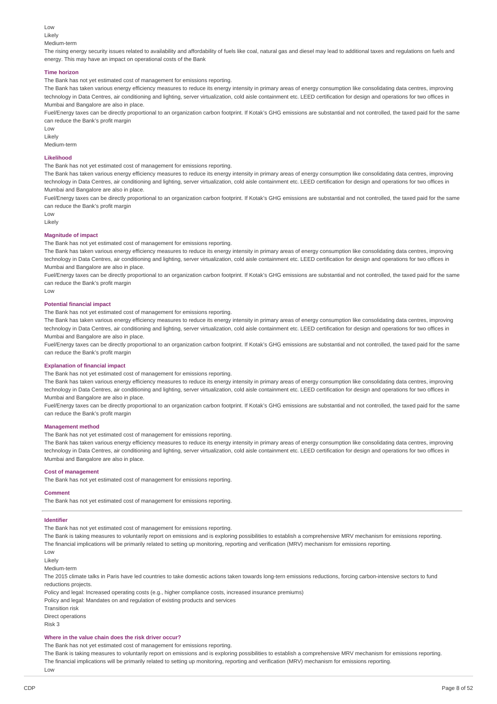Low

### Likely

Medium-term

The rising energy security issues related to availability and affordability of fuels like coal, natural gas and diesel may lead to additional taxes and regulations on fuels and energy. This may have an impact on operational costs of the Bank

#### **Time horizon**

The Bank has not yet estimated cost of management for emissions reporting.

The Bank has taken various energy efficiency measures to reduce its energy intensity in primary areas of energy consumption like consolidating data centres, improving technology in Data Centres, air conditioning and lighting, server virtualization, cold aisle containment etc. LEED certification for design and operations for two offices in Mumbai and Bangalore are also in place.

Fuel/Energy taxes can be directly proportional to an organization carbon footprint. If Kotak's GHG emissions are substantial and not controlled, the taxed paid for the same can reduce the Bank's profit margin

Low

Likely

Medium-term

#### **Likelihood**

The Bank has not yet estimated cost of management for emissions reporting.

The Bank has taken various energy efficiency measures to reduce its energy intensity in primary areas of energy consumption like consolidating data centres, improving technology in Data Centres, air conditioning and lighting, server virtualization, cold aisle containment etc. LEED certification for design and operations for two offices in Mumbai and Bangalore are also in place.

Fuel/Energy taxes can be directly proportional to an organization carbon footprint. If Kotak's GHG emissions are substantial and not controlled, the taxed paid for the same can reduce the Bank's profit margin

Low

Likely

### **Magnitude of impact**

The Bank has not yet estimated cost of management for emissions reporting.

The Bank has taken various energy efficiency measures to reduce its energy intensity in primary areas of energy consumption like consolidating data centres, improving technology in Data Centres, air conditioning and lighting, server virtualization, cold aisle containment etc. LEED certification for design and operations for two offices in Mumbai and Bangalore are also in place.

Fuel/Energy taxes can be directly proportional to an organization carbon footprint. If Kotak's GHG emissions are substantial and not controlled, the taxed paid for the same can reduce the Bank's profit margin

Low

#### **Potential financial impact**

The Bank has not yet estimated cost of management for emissions reporting.

The Bank has taken various energy efficiency measures to reduce its energy intensity in primary areas of energy consumption like consolidating data centres, improving technology in Data Centres, air conditioning and lighting, server virtualization, cold aisle containment etc. LEED certification for design and operations for two offices in Mumbai and Bangalore are also in place.

Fuel/Energy taxes can be directly proportional to an organization carbon footprint. If Kotak's GHG emissions are substantial and not controlled, the taxed paid for the same can reduce the Bank's profit margin

#### **Explanation of financial impact**

The Bank has not yet estimated cost of management for emissions reporting.

The Bank has taken various energy efficiency measures to reduce its energy intensity in primary areas of energy consumption like consolidating data centres, improving technology in Data Centres, air conditioning and lighting, server virtualization, cold aisle containment etc. LEED certification for design and operations for two offices in Mumbai and Bangalore are also in place.

Fuel/Energy taxes can be directly proportional to an organization carbon footprint. If Kotak's GHG emissions are substantial and not controlled, the taxed paid for the same can reduce the Bank's profit margin

#### **Management method**

The Bank has not yet estimated cost of management for emissions reporting.

The Bank has taken various energy efficiency measures to reduce its energy intensity in primary areas of energy consumption like consolidating data centres, improving technology in Data Centres, air conditioning and lighting, server virtualization, cold aisle containment etc. LEED certification for design and operations for two offices in Mumbai and Bangalore are also in place.

### **Cost of management**

The Bank has not yet estimated cost of management for emissions reporting.

#### **Comment**

The Bank has not yet estimated cost of management for emissions reporting.

#### **Identifier**

The Bank has not yet estimated cost of management for emissions reporting.

The Bank is taking measures to voluntarily report on emissions and is exploring possibilities to establish a comprehensive MRV mechanism for emissions reporting. The financial implications will be primarily related to setting up monitoring, reporting and verification (MRV) mechanism for emissions reporting.

Low

Likely

Medium-term

The 2015 climate talks in Paris have led countries to take domestic actions taken towards long-tern emissions reductions, forcing carbon-intensive sectors to fund reductions projects.

Policy and legal: Increased operating costs (e.g., higher compliance costs, increased insurance premiums)

Policy and legal: Mandates on and regulation of existing products and services

Transition risk

Direct operations

Risk 3

#### **Where in the value chain does the risk driver occur?**

The Bank has not yet estimated cost of management for emissions reporting.

The Bank is taking measures to voluntarily report on emissions and is exploring possibilities to establish a comprehensive MRV mechanism for emissions reporting. The financial implications will be primarily related to setting up monitoring, reporting and verification (MRV) mechanism for emissions reporting.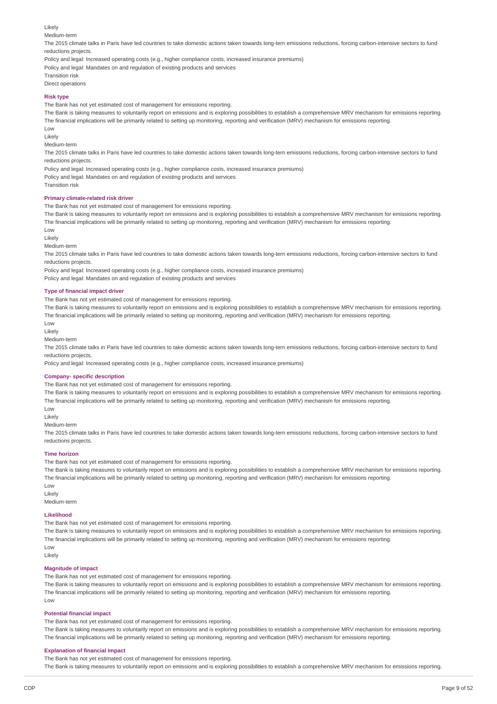#### Likely

Medium-term

The 2015 climate talks in Paris have led countries to take domestic actions taken towards long-tern emissions reductions, forcing carbon-intensive sectors to fund reductions projects.

Policy and legal: Increased operating costs (e.g., higher compliance costs, increased insurance premiums)

Policy and legal: Mandates on and regulation of existing products and services

Transition risk Direct operations

#### **Risk type**

The Bank has not yet estimated cost of management for emissions reporting.

The Bank is taking measures to voluntarily report on emissions and is exploring possibilities to establish a comprehensive MRV mechanism for emissions reporting. The financial implications will be primarily related to setting up monitoring, reporting and verification (MRV) mechanism for emissions reporting. Low

Likely

Medium-term

The 2015 climate talks in Paris have led countries to take domestic actions taken towards long-tern emissions reductions, forcing carbon-intensive sectors to fund reductions projects.

Policy and legal: Increased operating costs (e.g., higher compliance costs, increased insurance premiums) Policy and legal: Mandates on and regulation of existing products and services

Transition risk

### **Primary climate-related risk driver**

The Bank has not yet estimated cost of management for emissions reporting.

The Bank is taking measures to voluntarily report on emissions and is exploring possibilities to establish a comprehensive MRV mechanism for emissions reporting. The financial implications will be primarily related to setting up monitoring, reporting and verification (MRV) mechanism for emissions reporting.

Low

Likely

Medium-term

The 2015 climate talks in Paris have led countries to take domestic actions taken towards long-tern emissions reductions, forcing carbon-intensive sectors to fund reductions projects.

Policy and legal: Increased operating costs (e.g., higher compliance costs, increased insurance premiums)

Policy and legal: Mandates on and regulation of existing products and services

### **Type of financial impact driver**

The Bank has not yet estimated cost of management for emissions reporting.

The Bank is taking measures to voluntarily report on emissions and is exploring possibilities to establish a comprehensive MRV mechanism for emissions reporting. The financial implications will be primarily related to setting up monitoring, reporting and verification (MRV) mechanism for emissions reporting.

Low

Likely

Medium-term

The 2015 climate talks in Paris have led countries to take domestic actions taken towards long-tern emissions reductions, forcing carbon-intensive sectors to fund reductions projects.

Policy and legal: Increased operating costs (e.g., higher compliance costs, increased insurance premiums)

#### **Company- specific description**

The Bank has not yet estimated cost of management for emissions reporting.

The Bank is taking measures to voluntarily report on emissions and is exploring possibilities to establish a comprehensive MRV mechanism for emissions reporting. The financial implications will be primarily related to setting up monitoring, reporting and verification (MRV) mechanism for emissions reporting.

Low

Likely

Medium-term

The 2015 climate talks in Paris have led countries to take domestic actions taken towards long-tern emissions reductions, forcing carbon-intensive sectors to fund reductions projects.

#### **Time horizon**

The Bank has not yet estimated cost of management for emissions reporting.

The Bank is taking measures to voluntarily report on emissions and is exploring possibilities to establish a comprehensive MRV mechanism for emissions reporting. The financial implications will be primarily related to setting up monitoring, reporting and verification (MRV) mechanism for emissions reporting. Low

Likely

Medium-term

### **Likelihood**

The Bank has not yet estimated cost of management for emissions reporting.

The Bank is taking measures to voluntarily report on emissions and is exploring possibilities to establish a comprehensive MRV mechanism for emissions reporting. The financial implications will be primarily related to setting up monitoring, reporting and verification (MRV) mechanism for emissions reporting. Low

Likely

#### **Magnitude of impact**

The Bank has not yet estimated cost of management for emissions reporting.

The Bank is taking measures to voluntarily report on emissions and is exploring possibilities to establish a comprehensive MRV mechanism for emissions reporting. The financial implications will be primarily related to setting up monitoring, reporting and verification (MRV) mechanism for emissions reporting. Low

#### **Potential financial impact**

The Bank has not yet estimated cost of management for emissions reporting.

The Bank is taking measures to voluntarily report on emissions and is exploring possibilities to establish a comprehensive MRV mechanism for emissions reporting. The financial implications will be primarily related to setting up monitoring, reporting and verification (MRV) mechanism for emissions reporting.

#### **Explanation of financial impact**

The Bank has not yet estimated cost of management for emissions reporting. The Bank is taking measures to voluntarily report on emissions and is exploring possibilities to establish a comprehensive MRV mechanism for emissions reporting.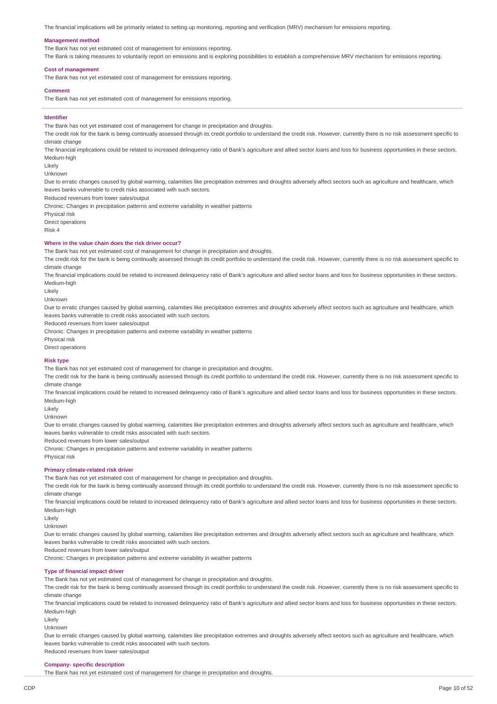The financial implications will be primarily related to setting up monitoring, reporting and verification (MRV) mechanism for emissions reporting.

#### **Management method**

The Bank has not yet estimated cost of management for emissions reporting.

The Bank is taking measures to voluntarily report on emissions and is exploring possibilities to establish a comprehensive MRV mechanism for emissions reporting.

#### **Cost of management**

The Bank has not yet estimated cost of management for emissions reporting.

#### **Comment**

The Bank has not yet estimated cost of management for emissions reporting.

#### **Identifier**

The Bank has not yet estimated cost of management for change in precipitation and droughts.

The credit risk for the bank is being continually assessed through its credit portfolio to understand the credit risk. However, currently there is no risk assessment specific to climate change

The financial implications could be related to increased delinquency ratio of Bank's agriculture and allied sector loans and loss for business opportunities in these sectors. Medium-high

Likely

Unknown

Due to erratic changes caused by global warming, calamities like precipitation extremes and droughts adversely affect sectors such as agriculture and healthcare, which leaves banks vulnerable to credit risks associated with such sectors.

Reduced revenues from lower sales/output

Chronic: Changes in precipitation patterns and extreme variability in weather patterns

Physical risk

Direct operations

Risk 4

#### **Where in the value chain does the risk driver occur?**

The Bank has not yet estimated cost of management for change in precipitation and droughts.

The credit risk for the bank is being continually assessed through its credit portfolio to understand the credit risk. However, currently there is no risk assessment specific to climate change

The financial implications could be related to increased delinquency ratio of Bank's agriculture and allied sector loans and loss for business opportunities in these sectors. Medium-high

Likely

Unknown

Due to erratic changes caused by global warming, calamities like precipitation extremes and droughts adversely affect sectors such as agriculture and healthcare, which

leaves banks vulnerable to credit risks associated with such sectors.

Reduced revenues from lower sales/output

Chronic: Changes in precipitation patterns and extreme variability in weather patterns

Physical risk

Direct operations

#### **Risk type**

The Bank has not yet estimated cost of management for change in precipitation and droughts.

The credit risk for the bank is being continually assessed through its credit portfolio to understand the credit risk. However, currently there is no risk assessment specific to climate change

The financial implications could be related to increased delinquency ratio of Bank's agriculture and allied sector loans and loss for business opportunities in these sectors. Medium-high

Likely

Unknown

Due to erratic changes caused by global warming, calamities like precipitation extremes and droughts adversely affect sectors such as agriculture and healthcare, which leaves banks vulnerable to credit risks associated with such sectors.

Reduced revenues from lower sales/output

Chronic: Changes in precipitation patterns and extreme variability in weather patterns

### Physical risk

### **Primary climate-related risk driver**

The Bank has not yet estimated cost of management for change in precipitation and droughts.

The credit risk for the bank is being continually assessed through its credit portfolio to understand the credit risk. However, currently there is no risk assessment specific to climate change

The financial implications could be related to increased delinquency ratio of Bank's agriculture and allied sector loans and loss for business opportunities in these sectors. Medium-high

Likely

Unknown

Due to erratic changes caused by global warming, calamities like precipitation extremes and droughts adversely affect sectors such as agriculture and healthcare, which leaves banks vulnerable to credit risks associated with such sectors.

Reduced revenues from lower sales/output

Chronic: Changes in precipitation patterns and extreme variability in weather patterns

#### **Type of financial impact driver**

The Bank has not yet estimated cost of management for change in precipitation and droughts.

The credit risk for the bank is being continually assessed through its credit portfolio to understand the credit risk. However, currently there is no risk assessment specific to climate change

The financial implications could be related to increased delinquency ratio of Bank's agriculture and allied sector loans and loss for business opportunities in these sectors. Medium-high

Likely

Unknown

Due to erratic changes caused by global warming, calamities like precipitation extremes and droughts adversely affect sectors such as agriculture and healthcare, which leaves banks vulnerable to credit risks associated with such sectors.

Reduced revenues from lower sales/output

### **Company- specific description**

The Bank has not yet estimated cost of management for change in precipitation and droughts.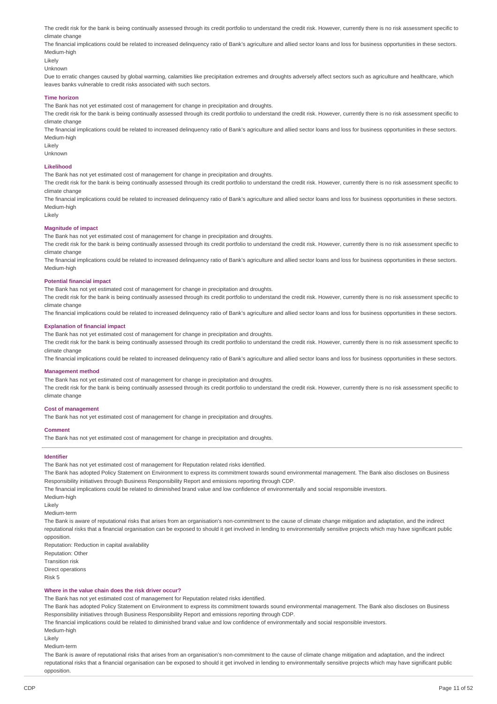The credit risk for the bank is being continually assessed through its credit portfolio to understand the credit risk. However, currently there is no risk assessment specific to climate change

The financial implications could be related to increased delinguency ratio of Bank's agriculture and allied sector loans and loss for business opportunities in these sectors. Medium-high

Likely

Unknown

Due to erratic changes caused by global warming, calamities like precipitation extremes and droughts adversely affect sectors such as agriculture and healthcare, which leaves banks vulnerable to credit risks associated with such sectors.

#### **Time horizon**

The Bank has not yet estimated cost of management for change in precipitation and droughts.

The credit risk for the bank is being continually assessed through its credit portfolio to understand the credit risk. However, currently there is no risk assessment specific to climate change

The financial implications could be related to increased delinquency ratio of Bank's agriculture and allied sector loans and loss for business opportunities in these sectors. Medium-high

Likely

Unknown

#### **Likelihood**

The Bank has not yet estimated cost of management for change in precipitation and droughts.

The credit risk for the bank is being continually assessed through its credit portfolio to understand the credit risk. However, currently there is no risk assessment specific to climate change

The financial implications could be related to increased delinquency ratio of Bank's agriculture and allied sector loans and loss for business opportunities in these sectors. Medium-high

Likely

#### **Magnitude of impact**

The Bank has not yet estimated cost of management for change in precipitation and droughts.

The credit risk for the bank is being continually assessed through its credit portfolio to understand the credit risk. However, currently there is no risk assessment specific to climate change

The financial implications could be related to increased delinquency ratio of Bank's agriculture and allied sector loans and loss for business opportunities in these sectors. Medium-high

#### **Potential financial impact**

The Bank has not yet estimated cost of management for change in precipitation and droughts.

The credit risk for the bank is being continually assessed through its credit portfolio to understand the credit risk. However, currently there is no risk assessment specific to climate change

The financial implications could be related to increased delinquency ratio of Bank's agriculture and allied sector loans and loss for business opportunities in these sectors.

#### **Explanation of financial impact**

The Bank has not yet estimated cost of management for change in precipitation and droughts.

The credit risk for the bank is being continually assessed through its credit portfolio to understand the credit risk. However, currently there is no risk assessment specific to climate change

The financial implications could be related to increased delinquency ratio of Bank's agriculture and allied sector loans and loss for business opportunities in these sectors.

#### **Management method**

The Bank has not yet estimated cost of management for change in precipitation and droughts.

The credit risk for the bank is being continually assessed through its credit portfolio to understand the credit risk. However, currently there is no risk assessment specific to climate change

#### **Cost of management**

The Bank has not yet estimated cost of management for change in precipitation and droughts.

#### **Comment**

The Bank has not yet estimated cost of management for change in precipitation and droughts.

#### **Identifier**

The Bank has not yet estimated cost of management for Reputation related risks identified.

The Bank has adopted Policy Statement on Environment to express its commitment towards sound environmental management. The Bank also discloses on Business Responsibility initiatives through Business Responsibility Report and emissions reporting through CDP.

The financial implications could be related to diminished brand value and low confidence of environmentally and social responsible investors.

Medium-high

Likely

Medium-term

The Bank is aware of reputational risks that arises from an organisation's non-commitment to the cause of climate change mitigation and adaptation, and the indirect reputational risks that a financial organisation can be exposed to should it get involved in lending to environmentally sensitive projects which may have significant public opposition.

Reputation: Reduction in capital availability Reputation: Other Transition risk Direct operations Risk 5

#### **Where in the value chain does the risk driver occur?**

The Bank has not yet estimated cost of management for Reputation related risks identified.

The Bank has adopted Policy Statement on Environment to express its commitment towards sound environmental management. The Bank also discloses on Business Responsibility initiatives through Business Responsibility Report and emissions reporting through CDP.

The financial implications could be related to diminished brand value and low confidence of environmentally and social responsible investors.

Medium-high

Likely

Medium-term

The Bank is aware of reputational risks that arises from an organisation's non-commitment to the cause of climate change mitigation and adaptation, and the indirect reputational risks that a financial organisation can be exposed to should it get involved in lending to environmentally sensitive projects which may have significant public opposition.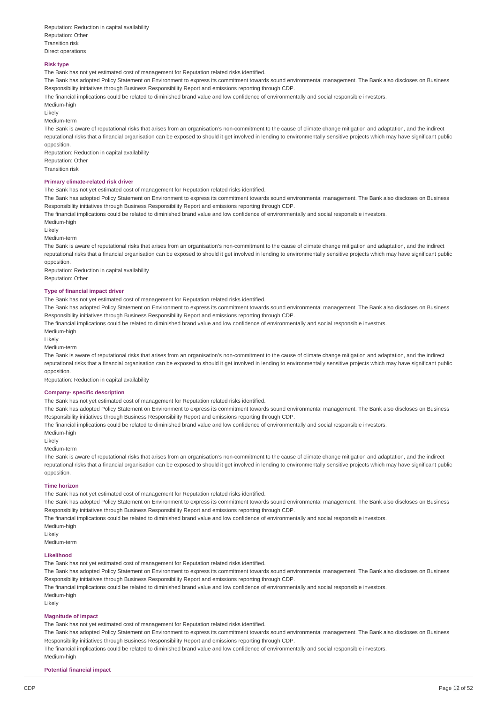#### **Risk type**

The Bank has not yet estimated cost of management for Reputation related risks identified.

The Bank has adopted Policy Statement on Environment to express its commitment towards sound environmental management. The Bank also discloses on Business Responsibility initiatives through Business Responsibility Report and emissions reporting through CDP.

The financial implications could be related to diminished brand value and low confidence of environmentally and social responsible investors.

Medium-high

Likely

Medium-term

The Bank is aware of reputational risks that arises from an organisation's non-commitment to the cause of climate change mitigation and adaptation, and the indirect reputational risks that a financial organisation can be exposed to should it get involved in lending to environmentally sensitive projects which may have significant public opposition.

Reputation: Reduction in capital availability Reputation: Other Transition risk

#### **Primary climate-related risk driver**

The Bank has not yet estimated cost of management for Reputation related risks identified.

The Bank has adopted Policy Statement on Environment to express its commitment towards sound environmental management. The Bank also discloses on Business Responsibility initiatives through Business Responsibility Report and emissions reporting through CDP.

The financial implications could be related to diminished brand value and low confidence of environmentally and social responsible investors.

Medium-high

Likely

Medium-term

The Bank is aware of reputational risks that arises from an organisation's non-commitment to the cause of climate change mitigation and adaptation, and the indirect reputational risks that a financial organisation can be exposed to should it get involved in lending to environmentally sensitive projects which may have significant public opposition.

Reputation: Reduction in capital availability Reputation: Other

### **Type of financial impact driver**

The Bank has not yet estimated cost of management for Reputation related risks identified.

The Bank has adopted Policy Statement on Environment to express its commitment towards sound environmental management. The Bank also discloses on Business Responsibility initiatives through Business Responsibility Report and emissions reporting through CDP.

The financial implications could be related to diminished brand value and low confidence of environmentally and social responsible investors.

Medium-high

Likely

Medium-term

The Bank is aware of reputational risks that arises from an organisation's non-commitment to the cause of climate change mitigation and adaptation, and the indirect reputational risks that a financial organisation can be exposed to should it get involved in lending to environmentally sensitive projects which may have significant public opposition.

Reputation: Reduction in capital availability

#### **Company- specific description**

The Bank has not yet estimated cost of management for Reputation related risks identified.

The Bank has adopted Policy Statement on Environment to express its commitment towards sound environmental management. The Bank also discloses on Business Responsibility initiatives through Business Responsibility Report and emissions reporting through CDP.

The financial implications could be related to diminished brand value and low confidence of environmentally and social responsible investors.

Medium-high

Likely

Medium-term

The Bank is aware of reputational risks that arises from an organisation's non-commitment to the cause of climate change mitigation and adaptation, and the indirect reputational risks that a financial organisation can be exposed to should it get involved in lending to environmentally sensitive projects which may have significant public opposition.

#### **Time horizon**

The Bank has not yet estimated cost of management for Reputation related risks identified.

The Bank has adopted Policy Statement on Environment to express its commitment towards sound environmental management. The Bank also discloses on Business Responsibility initiatives through Business Responsibility Report and emissions reporting through CDP.

The financial implications could be related to diminished brand value and low confidence of environmentally and social responsible investors.

Medium-high

Likely

Medium-term

#### **Likelihood**

The Bank has not yet estimated cost of management for Reputation related risks identified.

The Bank has adopted Policy Statement on Environment to express its commitment towards sound environmental management. The Bank also discloses on Business Responsibility initiatives through Business Responsibility Report and emissions reporting through CDP.

The financial implications could be related to diminished brand value and low confidence of environmentally and social responsible investors.

Medium-high

Medium-high

Likely

### **Magnitude of impact**

The Bank has not yet estimated cost of management for Reputation related risks identified.

The Bank has adopted Policy Statement on Environment to express its commitment towards sound environmental management. The Bank also discloses on Business Responsibility initiatives through Business Responsibility Report and emissions reporting through CDP.

The financial implications could be related to diminished brand value and low confidence of environmentally and social responsible investors.

### **Potential financial impact**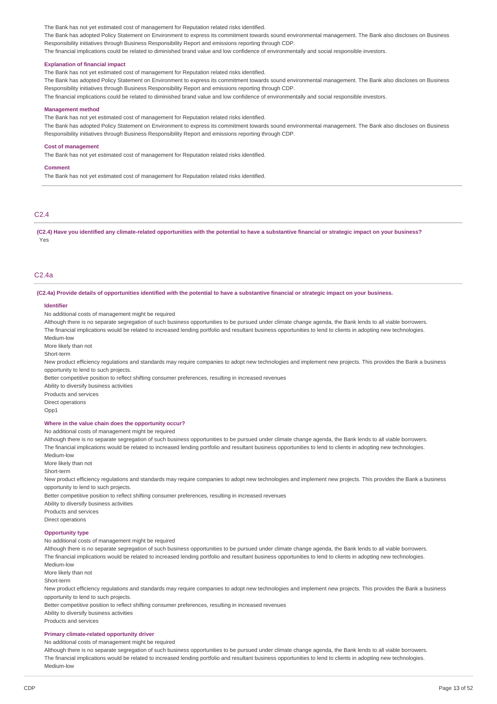The Bank has not yet estimated cost of management for Reputation related risks identified.

The Bank has adopted Policy Statement on Environment to express its commitment towards sound environmental management. The Bank also discloses on Business Responsibility initiatives through Business Responsibility Report and emissions reporting through CDP.

The financial implications could be related to diminished brand value and low confidence of environmentally and social responsible investors.

#### **Explanation of financial impact**

The Bank has not yet estimated cost of management for Reputation related risks identified.

The Bank has adopted Policy Statement on Environment to express its commitment towards sound environmental management. The Bank also discloses on Business Responsibility initiatives through Business Responsibility Report and emissions reporting through CDP.

The financial implications could be related to diminished brand value and low confidence of environmentally and social responsible investors.

#### **Management method**

The Bank has not yet estimated cost of management for Reputation related risks identified.

The Bank has adopted Policy Statement on Environment to express its commitment towards sound environmental management. The Bank also discloses on Business Responsibility initiatives through Business Responsibility Report and emissions reporting through CDP.

#### **Cost of management**

The Bank has not yet estimated cost of management for Reputation related risks identified.

#### **Comment**

The Bank has not yet estimated cost of management for Reputation related risks identified.

### C2.4

(C2.4) Have you identified any climate-related opportunities with the potential to have a substantive financial or strategic impact on your business? Yes

### C2.4a

(C2.4a) Provide details of opportunities identified with the potential to have a substantive financial or strategic impact on your business.

#### **Identifier**

No additional costs of management might be required

Although there is no separate segregation of such business opportunities to be pursued under climate change agenda, the Bank lends to all viable borrowers. The financial implications would be related to increased lending portfolio and resultant business opportunities to lend to clients in adopting new technologies. Medium-low

More likely than not

Short-term

New product efficiency regulations and standards may require companies to adopt new technologies and implement new projects. This provides the Bank a business opportunity to lend to such projects.

Better competitive position to reflect shifting consumer preferences, resulting in increased revenues

Ability to diversify business activities

Products and services

Direct operations

Opp1

#### **Where in the value chain does the opportunity occur?**

No additional costs of management might be required

Although there is no separate segregation of such business opportunities to be pursued under climate change agenda, the Bank lends to all viable borrowers. The financial implications would be related to increased lending portfolio and resultant business opportunities to lend to clients in adopting new technologies.

Medium-low

More likely than not

Short-term

New product efficiency regulations and standards may require companies to adopt new technologies and implement new projects. This provides the Bank a business opportunity to lend to such projects.

Better competitive position to reflect shifting consumer preferences, resulting in increased revenues

Ability to diversify business activities

Products and services

Direct operations

#### **Opportunity type**

No additional costs of management might be required

Although there is no separate segregation of such business opportunities to be pursued under climate change agenda, the Bank lends to all viable borrowers. The financial implications would be related to increased lending portfolio and resultant business opportunities to lend to clients in adopting new technologies. Medium-low

More likely than not

Short-term

New product efficiency regulations and standards may require companies to adopt new technologies and implement new projects. This provides the Bank a business opportunity to lend to such projects.

Better competitive position to reflect shifting consumer preferences, resulting in increased revenues Ability to diversify business activities

Products and services

#### **Primary climate-related opportunity driver**

No additional costs of management might be required

Although there is no separate segregation of such business opportunities to be pursued under climate change agenda, the Bank lends to all viable borrowers. The financial implications would be related to increased lending portfolio and resultant business opportunities to lend to clients in adopting new technologies. Medium-low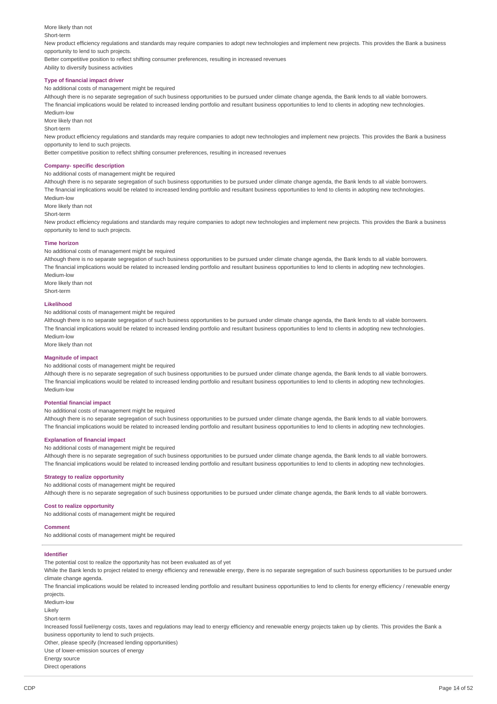More likely than not

#### Short-term

New product efficiency regulations and standards may require companies to adopt new technologies and implement new projects. This provides the Bank a business opportunity to lend to such projects.

Better competitive position to reflect shifting consumer preferences, resulting in increased revenues Ability to diversify business activities

# **Type of financial impact driver**

No additional costs of management might be required

Although there is no separate segregation of such business opportunities to be pursued under climate change agenda, the Bank lends to all viable borrowers. The financial implications would be related to increased lending portfolio and resultant business opportunities to lend to clients in adopting new technologies. Medium-low

More likely than not

Short-term

New product efficiency regulations and standards may require companies to adopt new technologies and implement new projects. This provides the Bank a business opportunity to lend to such projects.

Better competitive position to reflect shifting consumer preferences, resulting in increased revenues

#### **Company- specific description**

No additional costs of management might be required

Although there is no separate segregation of such business opportunities to be pursued under climate change agenda, the Bank lends to all viable borrowers. The financial implications would be related to increased lending portfolio and resultant business opportunities to lend to clients in adopting new technologies. Medium-low

More likely than not

Short-term

New product efficiency regulations and standards may require companies to adopt new technologies and implement new projects. This provides the Bank a business opportunity to lend to such projects.

#### **Time horizon**

No additional costs of management might be required

Although there is no separate segregation of such business opportunities to be pursued under climate change agenda, the Bank lends to all viable borrowers. The financial implications would be related to increased lending portfolio and resultant business opportunities to lend to clients in adopting new technologies. Medium-low

More likely than not Short-term

#### **Likelihood**

No additional costs of management might be required

Although there is no separate segregation of such business opportunities to be pursued under climate change agenda, the Bank lends to all viable borrowers. The financial implications would be related to increased lending portfolio and resultant business opportunities to lend to clients in adopting new technologies. Medium-low

More likely than not

#### **Magnitude of impact**

No additional costs of management might be required

Although there is no separate segregation of such business opportunities to be pursued under climate change agenda, the Bank lends to all viable borrowers. The financial implications would be related to increased lending portfolio and resultant business opportunities to lend to clients in adopting new technologies. Medium-low

#### **Potential financial impact**

### No additional costs of management might be required

Although there is no separate segregation of such business opportunities to be pursued under climate change agenda, the Bank lends to all viable borrowers. The financial implications would be related to increased lending portfolio and resultant business opportunities to lend to clients in adopting new technologies.

#### **Explanation of financial impact**

No additional costs of management might be required

Although there is no separate segregation of such business opportunities to be pursued under climate change agenda, the Bank lends to all viable borrowers. The financial implications would be related to increased lending portfolio and resultant business opportunities to lend to clients in adopting new technologies.

#### **Strategy to realize opportunity**

No additional costs of management might be required

Although there is no separate segregation of such business opportunities to be pursued under climate change agenda, the Bank lends to all viable borrowers.

#### **Cost to realize opportunity**

No additional costs of management might be required

### **Comment**

No additional costs of management might be required

### **Identifier**

The potential cost to realize the opportunity has not been evaluated as of yet

While the Bank lends to project related to energy efficiency and renewable energy, there is no separate segregation of such business opportunities to be pursued under climate change agenda.

The financial implications would be related to increased lending portfolio and resultant business opportunities to lend to clients for energy efficiency / renewable energy projects.

Medium-low

Likely

Short-term

Increased fossil fuel/energy costs, taxes and regulations may lead to energy efficiency and renewable energy projects taken up by clients. This provides the Bank a business opportunity to lend to such projects.

Other, please specify (Increased lending opportunities)

Use of lower-emission sources of energy

Energy source

Direct operations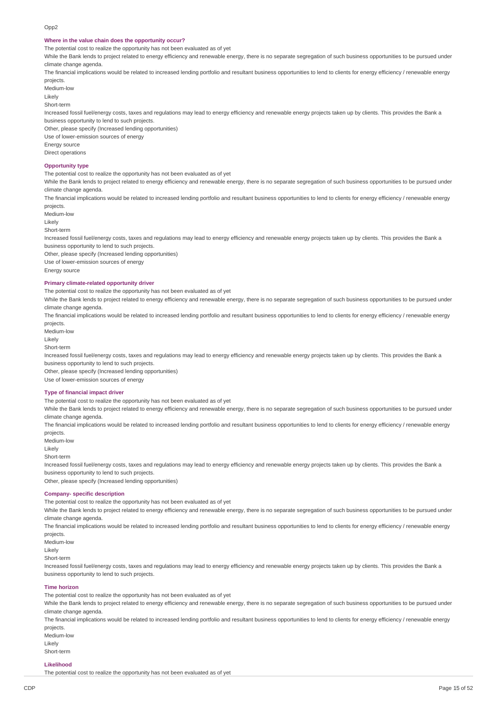#### **Where in the value chain does the opportunity occur?**

The potential cost to realize the opportunity has not been evaluated as of yet

While the Bank lends to project related to energy efficiency and renewable energy, there is no separate segregation of such business opportunities to be pursued under climate change agenda.

The financial implications would be related to increased lending portfolio and resultant business opportunities to lend to clients for energy efficiency / renewable energy projects.

Medium-low

Likely

Short-term

Increased fossil fuel/energy costs, taxes and regulations may lead to energy efficiency and renewable energy projects taken up by clients. This provides the Bank a business opportunity to lend to such projects.

Other, please specify (Increased lending opportunities)

Use of lower-emission sources of energy

Energy source

Direct operations

#### **Opportunity type**

The potential cost to realize the opportunity has not been evaluated as of yet

While the Bank lends to project related to energy efficiency and renewable energy, there is no separate segregation of such business opportunities to be pursued under climate change agenda.

The financial implications would be related to increased lending portfolio and resultant business opportunities to lend to clients for energy efficiency / renewable energy projects.

Medium-low

Likely

Short-term

Increased fossil fuel/energy costs, taxes and regulations may lead to energy efficiency and renewable energy projects taken up by clients. This provides the Bank a business opportunity to lend to such projects.

Other, please specify (Increased lending opportunities)

Use of lower-emission sources of energy

Energy source

#### **Primary climate-related opportunity driver**

The potential cost to realize the opportunity has not been evaluated as of yet

While the Bank lends to project related to energy efficiency and renewable energy, there is no separate segregation of such business opportunities to be pursued under climate change agenda.

The financial implications would be related to increased lending portfolio and resultant business opportunities to lend to clients for energy efficiency / renewable energy projects.

Medium-low

Likely

Short-term

Increased fossil fuel/energy costs, taxes and regulations may lead to energy efficiency and renewable energy projects taken up by clients. This provides the Bank a business opportunity to lend to such projects.

Other, please specify (Increased lending opportunities)

Use of lower-emission sources of energy

#### **Type of financial impact driver**

The potential cost to realize the opportunity has not been evaluated as of yet

While the Bank lends to project related to energy efficiency and renewable energy, there is no separate segregation of such business opportunities to be pursued under climate change agenda.

The financial implications would be related to increased lending portfolio and resultant business opportunities to lend to clients for energy efficiency / renewable energy projects.

Medium-low

Likely

Short-term

Increased fossil fuel/energy costs, taxes and regulations may lead to energy efficiency and renewable energy projects taken up by clients. This provides the Bank a business opportunity to lend to such projects.

Other, please specify (Increased lending opportunities)

#### **Company- specific description**

The potential cost to realize the opportunity has not been evaluated as of yet

While the Bank lends to project related to energy efficiency and renewable energy, there is no separate segregation of such business opportunities to be pursued under climate change agenda.

The financial implications would be related to increased lending portfolio and resultant business opportunities to lend to clients for energy efficiency / renewable energy projects.

Medium-low

Likely

Short-term

Increased fossil fuel/energy costs, taxes and regulations may lead to energy efficiency and renewable energy projects taken up by clients. This provides the Bank a business opportunity to lend to such projects.

#### **Time horizon**

The potential cost to realize the opportunity has not been evaluated as of yet

While the Bank lends to project related to energy efficiency and renewable energy, there is no separate segregation of such business opportunities to be pursued under climate change agenda.

The financial implications would be related to increased lending portfolio and resultant business opportunities to lend to clients for energy efficiency / renewable energy projects.

Medium-low Likely

Short-term

### **Likelihood**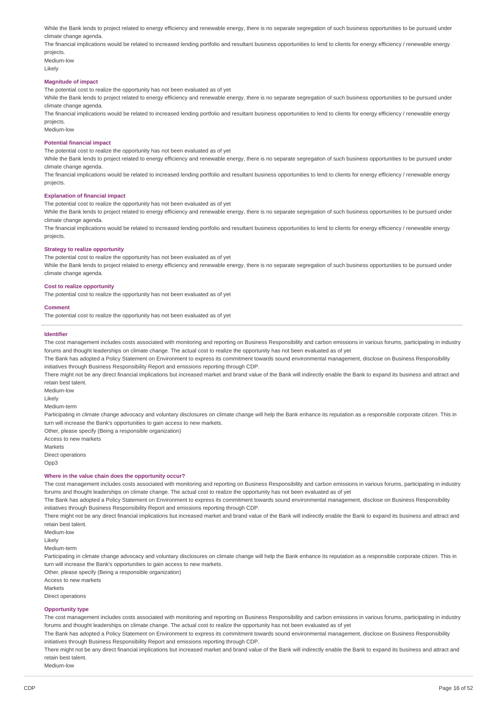While the Bank lends to project related to energy efficiency and renewable energy, there is no separate segregation of such business opportunities to be pursued under climate change agenda.

The financial implications would be related to increased lending portfolio and resultant business opportunities to lend to clients for energy efficiency / renewable energy projects.

Medium-low Likely

#### **Magnitude of impact**

The potential cost to realize the opportunity has not been evaluated as of yet

While the Bank lends to project related to energy efficiency and renewable energy, there is no separate segregation of such business opportunities to be pursued under climate change agenda.

The financial implications would be related to increased lending portfolio and resultant business opportunities to lend to clients for energy efficiency / renewable energy projects.

Medium-low

#### **Potential financial impact**

The potential cost to realize the opportunity has not been evaluated as of yet

While the Bank lends to project related to energy efficiency and renewable energy, there is no separate segregation of such business opportunities to be pursued under climate change agenda.

The financial implications would be related to increased lending portfolio and resultant business opportunities to lend to clients for energy efficiency / renewable energy projects.

#### **Explanation of financial impact**

The potential cost to realize the opportunity has not been evaluated as of yet

While the Bank lends to project related to energy efficiency and renewable energy, there is no separate segregation of such business opportunities to be pursued under climate change agenda.

The financial implications would be related to increased lending portfolio and resultant business opportunities to lend to clients for energy efficiency / renewable energy projects.

#### **Strategy to realize opportunity**

The potential cost to realize the opportunity has not been evaluated as of yet

While the Bank lends to project related to energy efficiency and renewable energy, there is no separate segregation of such business opportunities to be pursued under climate change agenda.

#### **Cost to realize opportunity**

The potential cost to realize the opportunity has not been evaluated as of yet

#### **Comment**

The potential cost to realize the opportunity has not been evaluated as of yet

#### **Identifier**

The cost management includes costs associated with monitoring and reporting on Business Responsibility and carbon emissions in various forums, participating in industry forums and thought leaderships on climate change. The actual cost to realize the opportunity has not been evaluated as of yet

The Bank has adopted a Policy Statement on Environment to express its commitment towards sound environmental management, disclose on Business Responsibility initiatives through Business Responsibility Report and emissions reporting through CDP.

There might not be any direct financial implications but increased market and brand value of the Bank will indirectly enable the Bank to expand its business and attract and retain best talent.

Medium-low

Likely

Medium-term

Participating in climate change advocacy and voluntary disclosures on climate change will help the Bank enhance its reputation as a responsible corporate citizen. This in turn will increase the Bank's opportunities to gain access to new markets.

Other, please specify (Being a responsible organization)

Access to new markets Markets Direct operations Opp3

### **Where in the value chain does the opportunity occur?**

The cost management includes costs associated with monitoring and reporting on Business Responsibility and carbon emissions in various forums, participating in industry forums and thought leaderships on climate change. The actual cost to realize the opportunity has not been evaluated as of yet

The Bank has adopted a Policy Statement on Environment to express its commitment towards sound environmental management, disclose on Business Responsibility initiatives through Business Responsibility Report and emissions reporting through CDP.

There might not be any direct financial implications but increased market and brand value of the Bank will indirectly enable the Bank to expand its business and attract and retain best talent.

Medium-low

Likely

Medium-term

Participating in climate change advocacy and voluntary disclosures on climate change will help the Bank enhance its reputation as a responsible corporate citizen. This in turn will increase the Bank's opportunities to gain access to new markets.

Other, please specify (Being a responsible organization)

Access to new markets

Markets Direct operations

### **Opportunity type**

The cost management includes costs associated with monitoring and reporting on Business Responsibility and carbon emissions in various forums, participating in industry forums and thought leaderships on climate change. The actual cost to realize the opportunity has not been evaluated as of yet

The Bank has adopted a Policy Statement on Environment to express its commitment towards sound environmental management, disclose on Business Responsibility initiatives through Business Responsibility Report and emissions reporting through CDP.

There might not be any direct financial implications but increased market and brand value of the Bank will indirectly enable the Bank to expand its business and attract and retain best talent.

Medium-low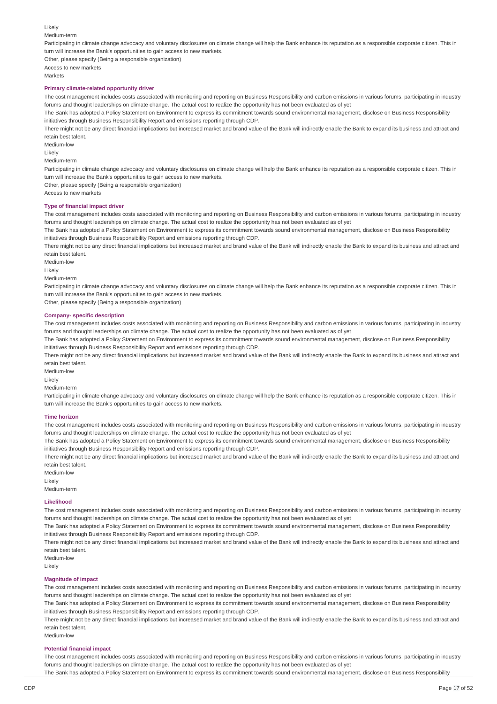Likely Medium-term Participating in climate change advocacy and voluntary disclosures on climate change will help the Bank enhance its reputation as a responsible corporate citizen. This in turn will increase the Bank's opportunities to gain access to new markets. Other, please specify (Being a responsible organization) Access to new markets Markets

#### **Primary climate-related opportunity driver**

The cost management includes costs associated with monitoring and reporting on Business Responsibility and carbon emissions in various forums, participating in industry forums and thought leaderships on climate change. The actual cost to realize the opportunity has not been evaluated as of yet

The Bank has adopted a Policy Statement on Environment to express its commitment towards sound environmental management, disclose on Business Responsibility initiatives through Business Responsibility Report and emissions reporting through CDP.

There might not be any direct financial implications but increased market and brand value of the Bank will indirectly enable the Bank to expand its business and attract and retain best talent.

Medium-low

Likely

Medium-term

Participating in climate change advocacy and voluntary disclosures on climate change will help the Bank enhance its reputation as a responsible corporate citizen. This in turn will increase the Bank's opportunities to gain access to new markets.

Other, please specify (Being a responsible organization)

Access to new markets

#### **Type of financial impact driver**

The cost management includes costs associated with monitoring and reporting on Business Responsibility and carbon emissions in various forums, participating in industry forums and thought leaderships on climate change. The actual cost to realize the opportunity has not been evaluated as of yet

The Bank has adopted a Policy Statement on Environment to express its commitment towards sound environmental management, disclose on Business Responsibility initiatives through Business Responsibility Report and emissions reporting through CDP.

There might not be any direct financial implications but increased market and brand value of the Bank will indirectly enable the Bank to expand its business and attract and retain best talent.

Medium-low

Likely

Medium-term

Participating in climate change advocacy and voluntary disclosures on climate change will help the Bank enhance its reputation as a responsible corporate citizen. This in turn will increase the Bank's opportunities to gain access to new markets.

Other, please specify (Being a responsible organization)

#### **Company- specific description**

The cost management includes costs associated with monitoring and reporting on Business Responsibility and carbon emissions in various forums, participating in industry forums and thought leaderships on climate change. The actual cost to realize the opportunity has not been evaluated as of yet

The Bank has adopted a Policy Statement on Environment to express its commitment towards sound environmental management, disclose on Business Responsibility initiatives through Business Responsibility Report and emissions reporting through CDP.

There might not be any direct financial implications but increased market and brand value of the Bank will indirectly enable the Bank to expand its business and attract and retain best talent.

Medium-low

Likely

Medium-term

Participating in climate change advocacy and voluntary disclosures on climate change will help the Bank enhance its reputation as a responsible corporate citizen. This in turn will increase the Bank's opportunities to gain access to new markets.

#### **Time horizon**

The cost management includes costs associated with monitoring and reporting on Business Responsibility and carbon emissions in various forums, participating in industry forums and thought leaderships on climate change. The actual cost to realize the opportunity has not been evaluated as of yet

The Bank has adopted a Policy Statement on Environment to express its commitment towards sound environmental management, disclose on Business Responsibility initiatives through Business Responsibility Report and emissions reporting through CDP.

There might not be any direct financial implications but increased market and brand value of the Bank will indirectly enable the Bank to expand its business and attract and retain best talent.

Medium-low Likely

Medium-term

#### **Likelihood**

The cost management includes costs associated with monitoring and reporting on Business Responsibility and carbon emissions in various forums, participating in industry forums and thought leaderships on climate change. The actual cost to realize the opportunity has not been evaluated as of yet

The Bank has adopted a Policy Statement on Environment to express its commitment towards sound environmental management, disclose on Business Responsibility initiatives through Business Responsibility Report and emissions reporting through CDP.

There might not be any direct financial implications but increased market and brand value of the Bank will indirectly enable the Bank to expand its business and attract and retain best talent.

Likely

#### **Magnitude of impact**

The cost management includes costs associated with monitoring and reporting on Business Responsibility and carbon emissions in various forums, participating in industry forums and thought leaderships on climate change. The actual cost to realize the opportunity has not been evaluated as of yet

The Bank has adopted a Policy Statement on Environment to express its commitment towards sound environmental management, disclose on Business Responsibility initiatives through Business Responsibility Report and emissions reporting through CDP.

There might not be any direct financial implications but increased market and brand value of the Bank will indirectly enable the Bank to expand its business and attract and retain best talent.

Medium-low

#### **Potential financial impact**

The cost management includes costs associated with monitoring and reporting on Business Responsibility and carbon emissions in various forums, participating in industry forums and thought leaderships on climate change. The actual cost to realize the opportunity has not been evaluated as of yet

The Bank has adopted a Policy Statement on Environment to express its commitment towards sound environmental management, disclose on Business Responsibility

Medium-low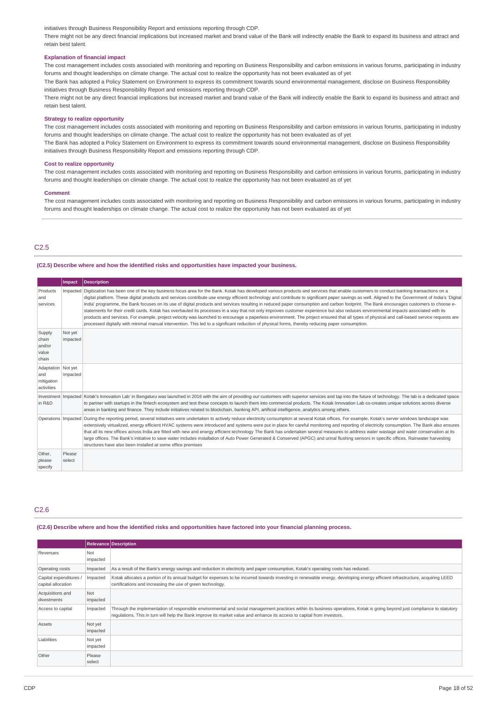initiatives through Business Responsibility Report and emissions reporting through CDP.

There might not be any direct financial implications but increased market and brand value of the Bank will indirectly enable the Bank to expand its business and attract and retain best talent.

### **Explanation of financial impact**

The cost management includes costs associated with monitoring and reporting on Business Responsibility and carbon emissions in various forums, participating in industry forums and thought leaderships on climate change. The actual cost to realize the opportunity has not been evaluated as of yet

The Bank has adopted a Policy Statement on Environment to express its commitment towards sound environmental management, disclose on Business Responsibility initiatives through Business Responsibility Report and emissions reporting through CDP.

There might not be any direct financial implications but increased market and brand value of the Bank will indirectly enable the Bank to expand its business and attract and retain best talent.

### **Strategy to realize opportunity**

The cost management includes costs associated with monitoring and reporting on Business Responsibility and carbon emissions in various forums, participating in industry forums and thought leaderships on climate change. The actual cost to realize the opportunity has not been evaluated as of vet The Bank has adopted a Policy Statement on Environment to express its commitment towards sound environmental management, disclose on Business Responsibility

initiatives through Business Responsibility Report and emissions reporting through CDP.

#### **Cost to realize opportunity**

The cost management includes costs associated with monitoring and reporting on Business Responsibility and carbon emissions in various forums, participating in industry forums and thought leaderships on climate change. The actual cost to realize the opportunity has not been evaluated as of yet

#### **Comment**

The cost management includes costs associated with monitoring and reporting on Business Responsibility and carbon emissions in various forums, participating in industry forums and thought leaderships on climate change. The actual cost to realize the opportunity has not been evaluated as of yet

### C2.5

#### **(C2.5) Describe where and how the identified risks and opportunities have impacted your business.**

|                                                         | Impact              | <b>Description</b>                                                                                                                                                                                                                                                                                                                                                                                                                                                                                                                                                                                                                                                                                                                                                                                                                                                                                                                                                                                                                                                                                                                      |
|---------------------------------------------------------|---------------------|-----------------------------------------------------------------------------------------------------------------------------------------------------------------------------------------------------------------------------------------------------------------------------------------------------------------------------------------------------------------------------------------------------------------------------------------------------------------------------------------------------------------------------------------------------------------------------------------------------------------------------------------------------------------------------------------------------------------------------------------------------------------------------------------------------------------------------------------------------------------------------------------------------------------------------------------------------------------------------------------------------------------------------------------------------------------------------------------------------------------------------------------|
| Products<br>and<br>services                             |                     | Impacted Digitization has been one of the key business focus area for the Bank. Kotak has developed various products and services that enable customers to conduct banking transactions on a<br>digital platform. These digital products and services contribute use energy efficient technology and contribute to significant paper savings as well. Aligned to the Government of India's 'Digital<br>India' programme, the Bank focuses on its use of digital products and services resulting in reduced paper consumption and carbon footprint. The Bank encourages customers to choose e-<br>statements for their credit cards. Kotak has overhauled its processes in a way that not only improves customer experience but also reduces environmental impacts associated with its<br>products and services. For example, project velocity was launched to encourage a paperless environment. The project ensured that all types of physical and call-based service requests are<br>processed digitally with minimal manual intervention. This led to a significant reduction of physical forms, thereby reducing paper consumption. |
| Supply<br>chain<br>and/or<br>value<br>chain             | Not yet<br>impacted |                                                                                                                                                                                                                                                                                                                                                                                                                                                                                                                                                                                                                                                                                                                                                                                                                                                                                                                                                                                                                                                                                                                                         |
| Adaptation   Not yet<br>and<br>mitigation<br>activities | impacted            |                                                                                                                                                                                                                                                                                                                                                                                                                                                                                                                                                                                                                                                                                                                                                                                                                                                                                                                                                                                                                                                                                                                                         |
| in R&D                                                  |                     | Investment   Impacted   Kotak's Innovation Lab' in Bengaluru was launched in 2016 with the aim of providing our customers with superior services and tap into the future of technology. The lab is a dedicated space<br>to partner with startups in the fintech ecosystem and test these concepts to launch them into commercial products. The Kotak Innovation Lab co-creates unique solutions across diverse<br>areas in banking and finance. They include initiatives related to blockchain, banking API, artificial intelligence, analytics among others.                                                                                                                                                                                                                                                                                                                                                                                                                                                                                                                                                                           |
|                                                         |                     | Operations   Impacted   During the reporting period, several initiatives were undertaken to actively reduce electricity consumption at several Kotak offices. For example, Kotak's server windows landscape was<br>extensively virtualized, energy efficient HVAC systems were introduced and systems were put in place for careful monitoring and reporting of electricity consumption. The Bank also ensures<br>that all its new offices across India are fitted with new and energy efficient technology The Bank has undertaken several measures to address water wastage and water conservation at its<br>large offices. The Bank's initiative to save water includes installation of Auto Power Generated & Conserved (APGC) and urinal flushing sensors in specific offices. Rainwater harvesting<br>structures have also been installed at some office premises                                                                                                                                                                                                                                                                 |
| Other,<br>please<br>specify                             | Please<br>select    |                                                                                                                                                                                                                                                                                                                                                                                                                                                                                                                                                                                                                                                                                                                                                                                                                                                                                                                                                                                                                                                                                                                                         |

### C2.6

#### (C2.6) Describe where and how the identified risks and opportunities have factored into your financial planning process.

|                                              |                     | <b>Relevance Description</b>                                                                                                                                                                                                                                                                          |
|----------------------------------------------|---------------------|-------------------------------------------------------------------------------------------------------------------------------------------------------------------------------------------------------------------------------------------------------------------------------------------------------|
| Revenues                                     | Not<br>impacted     |                                                                                                                                                                                                                                                                                                       |
| Operating costs                              | Impacted            | As a result of the Bank's energy savings and reduction in electricity and paper consumption, Kotak's operating costs has reduced.                                                                                                                                                                     |
| Capital expenditures /<br>capital allocation | Impacted            | Kotak allocates a portion of its annual budget for expenses to be incurred towards investing in renewable energy, developing energy efficient infrastructure, acquiring LEED<br>certifications and increasing the use of green technology.                                                            |
| Acquisitions and<br>divestments              | Not<br>impacted     |                                                                                                                                                                                                                                                                                                       |
| Access to capital                            | Impacted            | Through the implementation of responsible environmental and social management practices within its business operations, Kotak is going beyond just compliance to statutory<br>requlations. This in turn will help the Bank improve its market value and enhance its access to capital from investors. |
| Assets                                       | Not yet<br>impacted |                                                                                                                                                                                                                                                                                                       |
| Liabilities                                  | Not yet<br>impacted |                                                                                                                                                                                                                                                                                                       |
| Other                                        | Please<br>select    |                                                                                                                                                                                                                                                                                                       |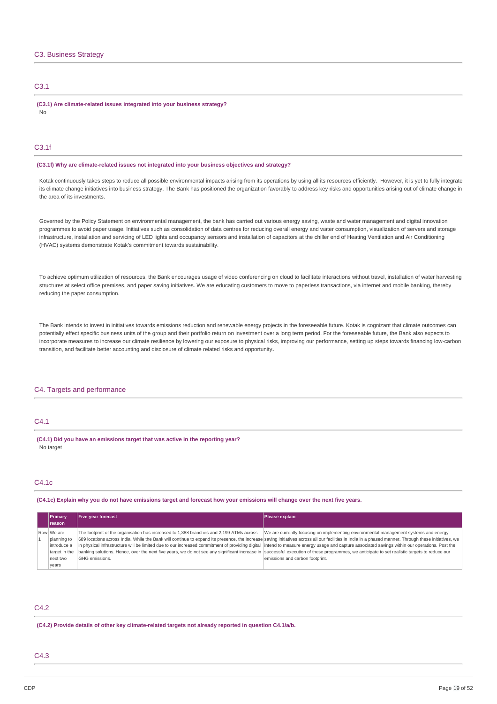### C3. Business Strategy

#### C3.1

**(C3.1) Are climate-related issues integrated into your business strategy?** No

### C3.1f

**(C3.1f) Why are climate-related issues not integrated into your business objectives and strategy?**

Kotak continuously takes steps to reduce all possible environmental impacts arising from its operations by using all its resources efficiently. However, it is yet to fully integrate its climate change initiatives into business strategy. The Bank has positioned the organization favorably to address key risks and opportunities arising out of climate change in the area of its investments.

Governed by the Policy Statement on environmental management, the bank has carried out various energy saving, waste and water management and digital innovation programmes to avoid paper usage. Initiatives such as consolidation of data centres for reducing overall energy and water consumption, visualization of servers and storage infrastructure, installation and servicing of LED lights and occupancy sensors and installation of capacitors at the chiller end of Heating Ventilation and Air Conditioning (HVAC) systems demonstrate Kotak's commitment towards sustainability.

To achieve optimum utilization of resources, the Bank encourages usage of video conferencing on cloud to facilitate interactions without travel, installation of water harvesting structures at select office premises, and paper saving initiatives. We are educating customers to move to paperless transactions, via internet and mobile banking, thereby reducing the paper consumption.

The Bank intends to invest in initiatives towards emissions reduction and renewable energy projects in the foreseeable future. Kotak is cognizant that climate outcomes can potentially effect specific business units of the group and their portfolio return on investment over a long term period. For the foreseeable future, the Bank also expects to incorporate measures to increase our climate resilience by lowering our exposure to physical risks, improving our performance, setting up steps towards financing low-carbon transition, and facilitate better accounting and disclosure of climate related risks and opportunity**.**

### C4. Targets and performance

### C4.1

**(C4.1) Did you have an emissions target that was active in the reporting year?** No target

### C4.1c

(C4.1c) Explain why you do not have emissions target and forecast how your emissions will change over the next five years.

| <b>Primary</b><br><b>Ireason</b>                          | <b>Five-year forecast</b>                                                               | Please explain                                                                                                                                                                                                                                                                                                                                                                                                                                                                                                                                                                                                                                                                                  |
|-----------------------------------------------------------|-----------------------------------------------------------------------------------------|-------------------------------------------------------------------------------------------------------------------------------------------------------------------------------------------------------------------------------------------------------------------------------------------------------------------------------------------------------------------------------------------------------------------------------------------------------------------------------------------------------------------------------------------------------------------------------------------------------------------------------------------------------------------------------------------------|
| Row We are<br>planning to<br>introduce a<br>target in the | The footprint of the organisation has increased to 1,388 branches and 2,199 ATMs across | We are currently focusing on implementing environmental management systems and energy<br>689 locations across India. While the Bank will continue to expand its presence, the increase saving initiatives across all our facilities in India in a phased manner. Through these initiatives, we<br>in physical infrastructure will be limited due to our increased commitment of providing digital intend to measure energy usage and capture associated savings within our operations. Post the<br>banking solutions. Hence, over the next five years, we do not see any significant increase in successful execution of these programmes, we anticipate to set realistic targets to reduce our |
| next two<br>vears                                         | GHG emissions.                                                                          | emissions and carbon footprint.                                                                                                                                                                                                                                                                                                                                                                                                                                                                                                                                                                                                                                                                 |

### C4.2

**(C4.2) Provide details of other key climate-related targets not already reported in question C4.1/a/b.**

### C4.3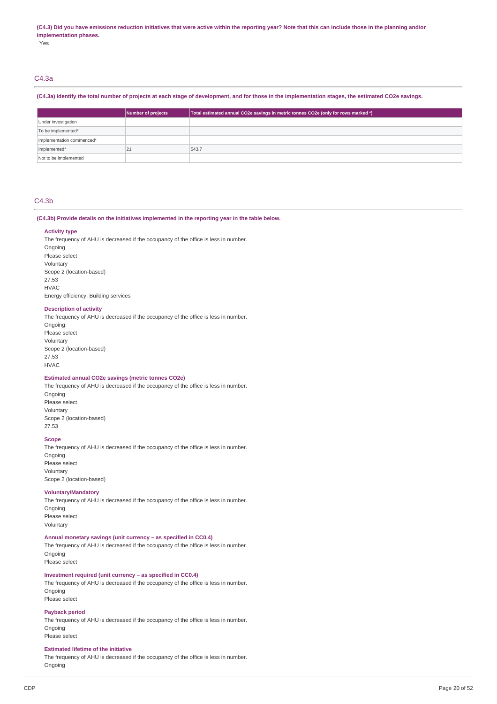#### (C4.3) Did you have emissions reduction initiatives that were active within the reporting year? Note that this can include those in the planning and/or **implementation phases.**

Yes

### C4.3a

### (C4.3a) Identify the total number of projects at each stage of development, and for those in the implementation stages, the estimated CO2e savings.

|                           | Number of projects | Total estimated annual CO2e savings in metric tonnes CO2e (only for rows marked *) |
|---------------------------|--------------------|------------------------------------------------------------------------------------|
| Under investigation       |                    |                                                                                    |
| To be implemented*        |                    |                                                                                    |
| Implementation commenced* |                    |                                                                                    |
| Implemented*              | 21                 | 543.7                                                                              |
| Not to be implemented     |                    |                                                                                    |

### C4.3b

#### **(C4.3b) Provide details on the initiatives implemented in the reporting year in the table below.**

#### **Activity type**

The frequency of AHU is decreased if the occupancy of the office is less in number. **Ongoing** Please select Voluntary Scope 2 (location-based) 27.53 HVAC Energy efficiency: Building services

#### **Description of activity**

The frequency of AHU is decreased if the occupancy of the office is less in number.

Ongoing Please select Voluntary Scope 2 (location-based) 27.53 HVAC

#### **Estimated annual CO2e savings (metric tonnes CO2e)**

The frequency of AHU is decreased if the occupancy of the office is less in number. Ongoing Please select Voluntary Scope 2 (location-based) 27.53

#### **Scope**

The frequency of AHU is decreased if the occupancy of the office is less in number. Ongoing Please select Voluntary Scope 2 (location-based)

#### **Voluntary/Mandatory**

The frequency of AHU is decreased if the occupancy of the office is less in number. Ongoing Please select Voluntary

### **Annual monetary savings (unit currency – as specified in CC0.4)**

The frequency of AHU is decreased if the occupancy of the office is less in number. Ongoing

Please select

### **Investment required (unit currency – as specified in CC0.4)**

The frequency of AHU is decreased if the occupancy of the office is less in number. Ongoing Please select

### **Payback period**

The frequency of AHU is decreased if the occupancy of the office is less in number. Ongoing Please select

### **Estimated lifetime of the initiative**

The frequency of AHU is decreased if the occupancy of the office is less in number. **Ongoing**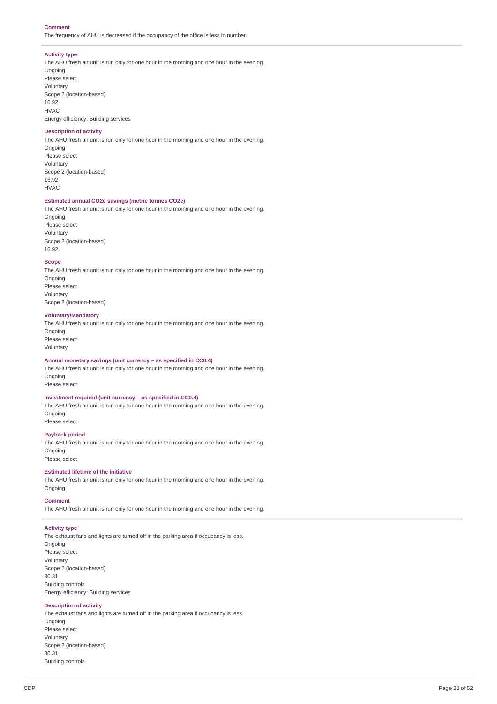#### **Comment**

The frequency of AHU is decreased if the occupancy of the office is less in number.

#### **Activity type**

The AHU fresh air unit is run only for one hour in the morning and one hour in the evening. Ongoing Please select Voluntary Scope 2 (location-based) 16.92 HVAC Energy efficiency: Building services

### **Description of activity**

The AHU fresh air unit is run only for one hour in the morning and one hour in the evening.

Ongoing Please select Voluntary Scope 2 (location-based) 16.92 HVAC

#### **Estimated annual CO2e savings (metric tonnes CO2e)**

The AHU fresh air unit is run only for one hour in the morning and one hour in the evening. **Ongoing** Please select Voluntary Scope 2 (location-based) 16.92

#### **Scope**

The AHU fresh air unit is run only for one hour in the morning and one hour in the evening. Ongoing Please select Voluntary Scope 2 (location-based)

#### **Voluntary/Mandatory**

The AHU fresh air unit is run only for one hour in the morning and one hour in the evening. **Ongoing** Please select Voluntary

### **Annual monetary savings (unit currency – as specified in CC0.4)**

The AHU fresh air unit is run only for one hour in the morning and one hour in the evening. Ongoing

Please select

### **Investment required (unit currency – as specified in CC0.4)**

The AHU fresh air unit is run only for one hour in the morning and one hour in the evening. Ongoing Please select

#### **Payback period**

The AHU fresh air unit is run only for one hour in the morning and one hour in the evening. Ongoing Please select

### **Estimated lifetime of the initiative**

The AHU fresh air unit is run only for one hour in the morning and one hour in the evening. Ongoing

### **Comment**

The AHU fresh air unit is run only for one hour in the morning and one hour in the evening.

### **Activity type**

The exhaust fans and lights are turned off in the parking area if occupancy is less.

Ongoing Please select Voluntary Scope 2 (location-based) 30.31 Building controls Energy efficiency: Building services

### **Description of activity**

The exhaust fans and lights are turned off in the parking area if occupancy is less. Ongoing Please select Voluntary Scope 2 (location-based) 30.31 Building controls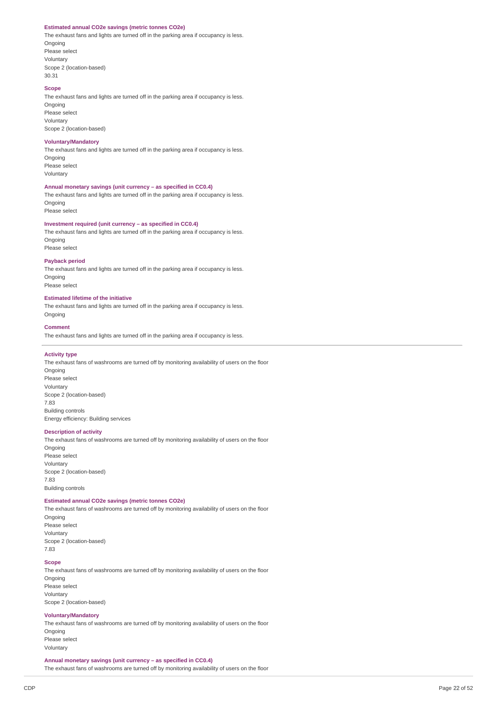#### **Estimated annual CO2e savings (metric tonnes CO2e)**

The exhaust fans and lights are turned off in the parking area if occupancy is less. **Ongoing** Please select Voluntary Scope 2 (location-based) 30.31

#### **Scope**

The exhaust fans and lights are turned off in the parking area if occupancy is less. Ongoing

Please select Voluntary Scope 2 (location-based)

#### **Voluntary/Mandatory**

The exhaust fans and lights are turned off in the parking area if occupancy is less. **Ongoing** Please select

Voluntary

### **Annual monetary savings (unit currency – as specified in CC0.4)**

The exhaust fans and lights are turned off in the parking area if occupancy is less. **Ongoing** 

Please select

### **Investment required (unit currency – as specified in CC0.4)**

The exhaust fans and lights are turned off in the parking area if occupancy is less. **Ongoing** Please select

### **Payback period**

The exhaust fans and lights are turned off in the parking area if occupancy is less. Ongoing Please select

### **Estimated lifetime of the initiative**

The exhaust fans and lights are turned off in the parking area if occupancy is less. Ongoing

### **Comment**

The exhaust fans and lights are turned off in the parking area if occupancy is less.

#### **Activity type**

The exhaust fans of washrooms are turned off by monitoring availability of users on the floor Ongoing Please select Voluntary Scope 2 (location-based) 7.83 Building controls Energy efficiency: Building services

#### **Description of activity**

The exhaust fans of washrooms are turned off by monitoring availability of users on the floor Ongoing Please select Voluntary Scope 2 (location-based) 7.83 Building controls

### **Estimated annual CO2e savings (metric tonnes CO2e)**

The exhaust fans of washrooms are turned off by monitoring availability of users on the floor Ongoing Please select Voluntary

Scope 2 (location-based) 7.83

### **Scope**

The exhaust fans of washrooms are turned off by monitoring availability of users on the floor Ongoing Please select Voluntary Scope 2 (location-based)

#### **Voluntary/Mandatory**

The exhaust fans of washrooms are turned off by monitoring availability of users on the floor Ongoing Please select Voluntary

**Annual monetary savings (unit currency – as specified in CC0.4)** The exhaust fans of washrooms are turned off by monitoring availability of users on the floor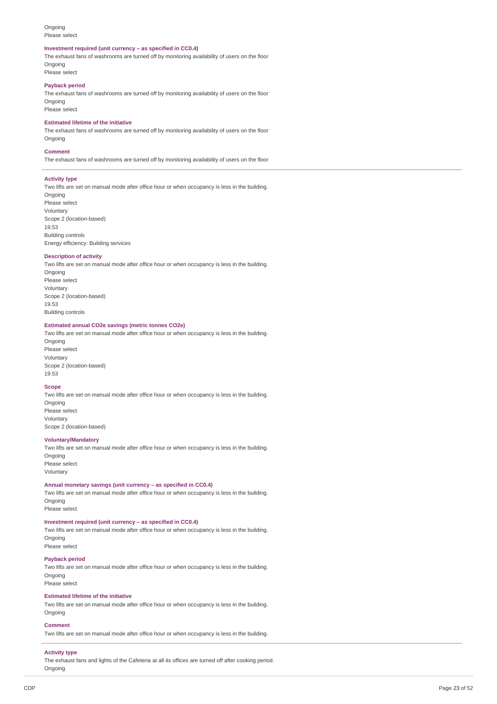#### Ongoing Please select

#### **Investment required (unit currency – as specified in CC0.4)**

The exhaust fans of washrooms are turned off by monitoring availability of users on the floor **Ongoing** Please select

### **Payback period**

The exhaust fans of washrooms are turned off by monitoring availability of users on the floor Ongoing Please select

#### **Estimated lifetime of the initiative**

The exhaust fans of washrooms are turned off by monitoring availability of users on the floor **Ongoing** 

#### **Comment**

The exhaust fans of washrooms are turned off by monitoring availability of users on the floor

#### **Activity type**

Two lifts are set on manual mode after office hour or when occupancy is less in the building. Ongoing Please select Voluntary Scope 2 (location-based) 19.53 Building controls Energy efficiency: Building services

### **Description of activity**

Two lifts are set on manual mode after office hour or when occupancy is less in the building. Ongoing Please select Voluntary Scope 2 (location-based) 19.53 Building controls

### **Estimated annual CO2e savings (metric tonnes CO2e)**

Two lifts are set on manual mode after office hour or when occupancy is less in the building. Ongoing Please select

Voluntary Scope 2 (location-based) 19.53

#### **Scope**

Two lifts are set on manual mode after office hour or when occupancy is less in the building. Ongoing Please select Voluntary Scope 2 (location-based)

#### **Voluntary/Mandatory**

Two lifts are set on manual mode after office hour or when occupancy is less in the building. **Ongoing** Please select Voluntary

#### **Annual monetary savings (unit currency – as specified in CC0.4)**

Two lifts are set on manual mode after office hour or when occupancy is less in the building. Ongoing

Please select

### **Investment required (unit currency – as specified in CC0.4)**

Two lifts are set on manual mode after office hour or when occupancy is less in the building. **Ongoing** Please select

#### **Payback period**

Two lifts are set on manual mode after office hour or when occupancy is less in the building. **Ongoing** Please select

#### **Estimated lifetime of the initiative**

Two lifts are set on manual mode after office hour or when occupancy is less in the building. Ongoing

#### **Comment**

Two lifts are set on manual mode after office hour or when occupancy is less in the building.

### **Activity type**

The exhaust fans and lights of the Cafeteria at all its offices are turned off after cooking period. Ongoing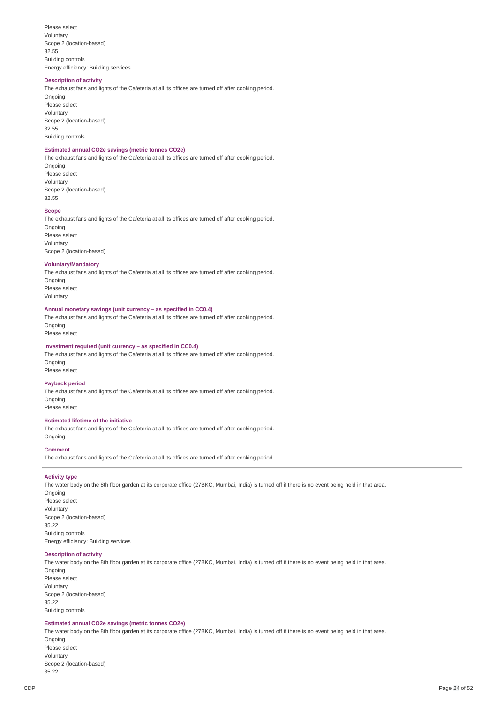Please select Voluntary Scope 2 (location-based) 32.55 Building controls Energy efficiency: Building services

#### **Description of activity**

The exhaust fans and lights of the Cafeteria at all its offices are turned off after cooking period. Ongoing Please select Voluntary Scope 2 (location-based) 32.55 Building controls

### **Estimated annual CO2e savings (metric tonnes CO2e)**

The exhaust fans and lights of the Cafeteria at all its offices are turned off after cooking period. Ongoing Please select

Voluntary Scope 2 (location-based) 32.55

#### **Scope**

The exhaust fans and lights of the Cafeteria at all its offices are turned off after cooking period. Ongoing Please select Voluntary Scope 2 (location-based)

#### **Voluntary/Mandatory**

The exhaust fans and lights of the Cafeteria at all its offices are turned off after cooking period. **Ongoing** Please select

Voluntary

#### **Annual monetary savings (unit currency – as specified in CC0.4)**

The exhaust fans and lights of the Cafeteria at all its offices are turned off after cooking period. **Ongoing** 

Please select

### **Investment required (unit currency – as specified in CC0.4)**

The exhaust fans and lights of the Cafeteria at all its offices are turned off after cooking period. Ongoing Please select

#### **Payback period**

The exhaust fans and lights of the Cafeteria at all its offices are turned off after cooking period. Ongoing Please select

#### **Estimated lifetime of the initiative**

The exhaust fans and lights of the Cafeteria at all its offices are turned off after cooking period. Ongoing

#### **Comment**

The exhaust fans and lights of the Cafeteria at all its offices are turned off after cooking period.

#### **Activity type**

The water body on the 8th floor garden at its corporate office (27BKC, Mumbai, India) is turned off if there is no event being held in that area. Ongoing Please select Voluntary Scope 2 (location-based) 35.22 Building controls Energy efficiency: Building services

#### **Description of activity**

The water body on the 8th floor garden at its corporate office (27BKC, Mumbai, India) is turned off if there is no event being held in that area. Ongoing Please select

Voluntary Scope 2 (location-based) 35.22 Building controls

#### **Estimated annual CO2e savings (metric tonnes CO2e)**

The water body on the 8th floor garden at its corporate office (27BKC, Mumbai, India) is turned off if there is no event being held in that area. Ongoing Please select Voluntary

Scope 2 (location-based) 35.22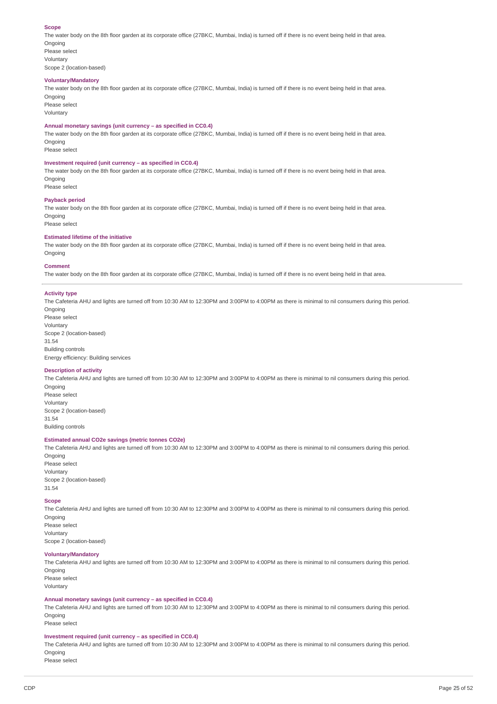#### **Scope**

The water body on the 8th floor garden at its corporate office (27BKC, Mumbai, India) is turned off if there is no event being held in that area. **Ongoing** 

Please select Voluntary Scope 2 (location-based)

#### **Voluntary/Mandatory**

The water body on the 8th floor garden at its corporate office (27BKC, Mumbai, India) is turned off if there is no event being held in that area. Ongoing

Please select Voluntary

#### **Annual monetary savings (unit currency – as specified in CC0.4)**

The water body on the 8th floor garden at its corporate office (27BKC, Mumbai, India) is turned off if there is no event being held in that area. Ongoing

Please select

### **Investment required (unit currency – as specified in CC0.4)**

The water body on the 8th floor garden at its corporate office (27BKC, Mumbai, India) is turned off if there is no event being held in that area. Ongoing Please select

#### **Payback period**

The water body on the 8th floor garden at its corporate office (27BKC, Mumbai, India) is turned off if there is no event being held in that area. Ongoing Please select

### **Estimated lifetime of the initiative**

The water body on the 8th floor garden at its corporate office (27BKC, Mumbai, India) is turned off if there is no event being held in that area. Ongoing

#### **Comment**

The water body on the 8th floor garden at its corporate office (27BKC, Mumbai, India) is turned off if there is no event being held in that area.

#### **Activity type**

The Cafeteria AHU and lights are turned off from 10:30 AM to 12:30PM and 3:00PM to 4:00PM as there is minimal to nil consumers during this period. **Ongoing** 

Please select Voluntary Scope 2 (location-based) 31.54 Building controls Energy efficiency: Building services

#### **Description of activity**

The Cafeteria AHU and lights are turned off from 10:30 AM to 12:30PM and 3:00PM to 4:00PM as there is minimal to nil consumers during this period. Ongoing Please select Voluntary

Scope 2 (location-based) 31.54 Building controls

#### **Estimated annual CO2e savings (metric tonnes CO2e)**

The Cafeteria AHU and lights are turned off from 10:30 AM to 12:30PM and 3:00PM to 4:00PM as there is minimal to nil consumers during this period. **Ongoing** Please select

Voluntary Scope 2 (location-based) 31.54

#### **Scope**

### The Cafeteria AHU and lights are turned off from 10:30 AM to 12:30PM and 3:00PM to 4:00PM as there is minimal to nil consumers during this period. **Ongoing**

Please select Voluntary Scope 2 (location-based)

#### **Voluntary/Mandatory**

The Cafeteria AHU and lights are turned off from 10:30 AM to 12:30PM and 3:00PM to 4:00PM as there is minimal to nil consumers during this period. Ongoing

Please select Voluntary

#### **Annual monetary savings (unit currency – as specified in CC0.4)**

The Cafeteria AHU and lights are turned off from 10:30 AM to 12:30PM and 3:00PM to 4:00PM as there is minimal to nil consumers during this period. **Ongoing** 

Please select

#### **Investment required (unit currency – as specified in CC0.4)**

The Cafeteria AHU and lights are turned off from 10:30 AM to 12:30PM and 3:00PM to 4:00PM as there is minimal to nil consumers during this period. Ongoing

Please select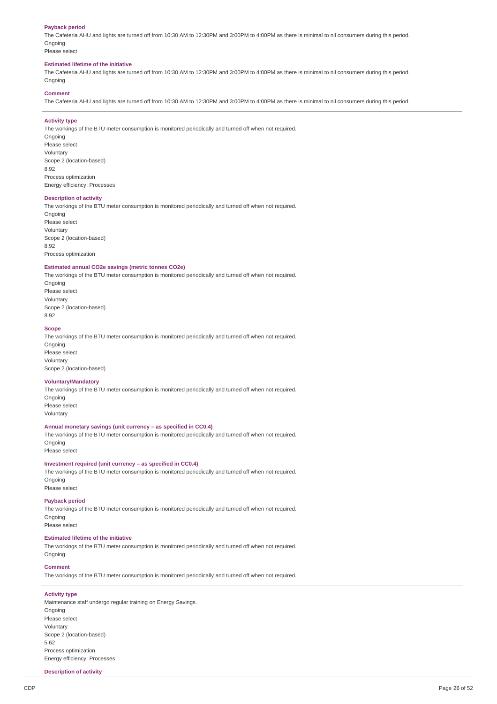### **Payback period**

The Cafeteria AHU and lights are turned off from 10:30 AM to 12:30PM and 3:00PM to 4:00PM as there is minimal to nil consumers during this period. **Ongoing** 

Please select

#### **Estimated lifetime of the initiative**

The Cafeteria AHU and lights are turned off from 10:30 AM to 12:30PM and 3:00PM to 4:00PM as there is minimal to nil consumers during this period. Ongoing

#### **Comment**

The Cafeteria AHU and lights are turned off from 10:30 AM to 12:30PM and 3:00PM to 4:00PM as there is minimal to nil consumers during this period.

#### **Activity type**

The workings of the BTU meter consumption is monitored periodically and turned off when not required. **Ongoing** Please select Voluntary Scope 2 (location-based) 8.92 Process optimization Energy efficiency: Processes

### **Description of activity**

The workings of the BTU meter consumption is monitored periodically and turned off when not required. **Ongoing** Please select Voluntary Scope 2 (location-based) 8.92 Process optimization

#### **Estimated annual CO2e savings (metric tonnes CO2e)**

The workings of the BTU meter consumption is monitored periodically and turned off when not required. Ongoing Please select Voluntary Scope 2 (location-based)

8.92

### **Scope**

The workings of the BTU meter consumption is monitored periodically and turned off when not required. Ongoing Please select Voluntary Scope 2 (location-based)

#### **Voluntary/Mandatory**

The workings of the BTU meter consumption is monitored periodically and turned off when not required. Ongoing Please select

Voluntary

### **Annual monetary savings (unit currency – as specified in CC0.4)**

The workings of the BTU meter consumption is monitored periodically and turned off when not required. Ongoing Please select

**Investment required (unit currency – as specified in CC0.4)**

The workings of the BTU meter consumption is monitored periodically and turned off when not required. Ongoing Please select

### **Payback period**

The workings of the BTU meter consumption is monitored periodically and turned off when not required. **Ongoing** 

Please select

### **Estimated lifetime of the initiative**

The workings of the BTU meter consumption is monitored periodically and turned off when not required. Ongoing

#### **Comment**

The workings of the BTU meter consumption is monitored periodically and turned off when not required.

#### **Activity type**

Maintenance staff undergo regular training on Energy Savings. Ongoing Please select Voluntary Scope 2 (location-based) 5.62 Process optimization Energy efficiency: Processes

#### **Description of activity**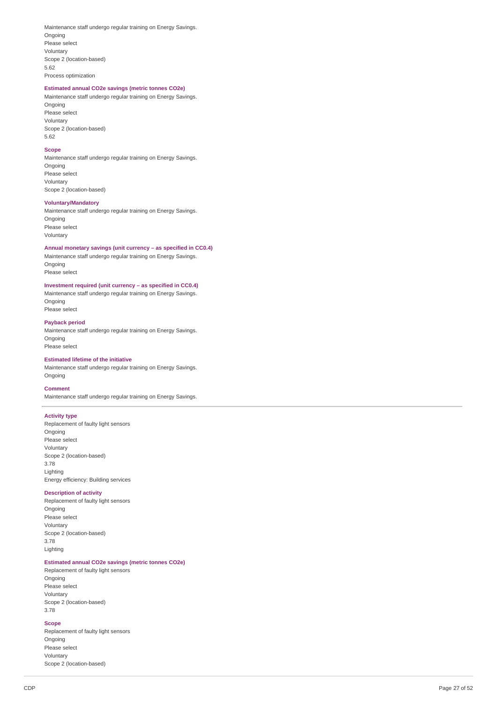Maintenance staff undergo regular training on Energy Savings. Ongoing Please select Voluntary Scope 2 (location-based) 5.62 Process optimization

### **Estimated annual CO2e savings (metric tonnes CO2e)**

Maintenance staff undergo regular training on Energy Savings. Ongoing Please select Voluntary Scope 2 (location-based) 5.62

### **Scope**

Maintenance staff undergo regular training on Energy Savings. Ongoing Please select Voluntary Scope 2 (location-based)

#### **Voluntary/Mandatory**

Maintenance staff undergo regular training on Energy Savings. **Ongoing** Please select Voluntary

**Annual monetary savings (unit currency – as specified in C C 0.4 )** Maintenance staff undergo regular training on Energy Savings. Ongoing Please select

### **Investment required (unit currency – as specified in CC0.4)**

Maintenance staff undergo regular training on Energy Savings. Ongoing Please select

#### **Payback period**

Maintenance staff undergo regular training on Energy Savings. Ongoing Please select

### **Estimated lifetime of the initiative**

Maintenance staff undergo regular training on Energy Savings. Ongoing

#### **Comment**

Maintenance staff undergo regular training on Energy Savings.

### **Activity type**

Replacement of faulty light sensors Ongoing Please select Voluntary Scope 2 (location-based) 3.78 Lighting Energy efficiency: Building services

#### **Description of activity**

Replacement of faulty light sensors Ongoing Please select Voluntary Scope 2 (location-based) 3.78 Lighting

### **Estimated annual CO2e savings (metric tonnes CO2e)**

Replacement of faulty light sensors Ongoing Please select Voluntary Scope 2 (location-based) 3.78

### **Scope**

Replacement of faulty light sensors Ongoing Please select Voluntary Scope 2 (location-based)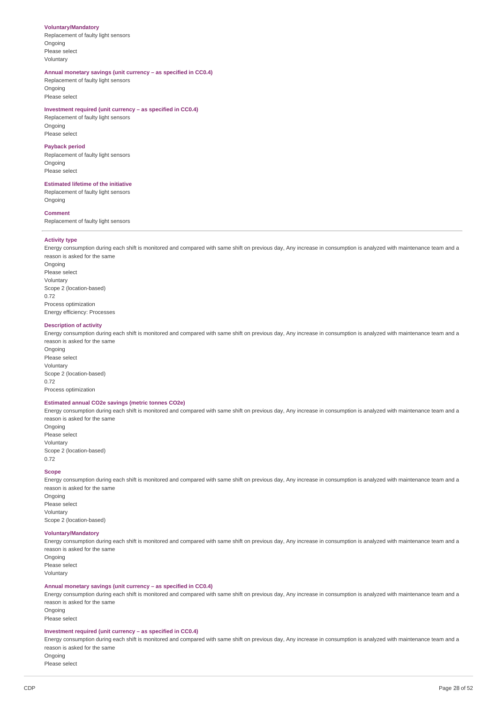#### **Voluntary/Mandatory**

Replacement of faulty light sensors **Ongoing** Please select Voluntary

### **Annual monetary savings (unit currency – as specified in CC0.4)**

Replacement of faulty light sensors Ongoing Please select

#### **Investment required (unit currency – as specified in CC0.4)**

Replacement of faulty light sensors **Ongoing** Please select

#### **Payback period**

Replacement of faulty light sensors Ongoing Please select

#### **Estimated lifetime of the initiative**

Replacement of faulty light sensors **Ongoing** 

#### **Comment**

Replacement of faulty light sensors

#### **Activity type**

Energy consumption during each shift is monitored and compared with same shift on previous day, Any increase in consumption is analyzed with maintenance team and a reason is asked for the same Ongoing Please select Voluntary Scope 2 (location-based) 0.72 Process optimization Energy efficiency: Processes

#### **Description of activity**

Energy consumption during each shift is monitored and compared with same shift on previous day, Any increase in consumption is analyzed with maintenance team and a reason is asked for the same

Ongoing Please select Voluntary Scope 2 (location-based) 0.72 Process optimization

#### **Estimated annual CO2e savings (metric tonnes CO2e)**

Energy consumption during each shift is monitored and compared with same shift on previous day, Any increase in consumption is analyzed with maintenance team and a reason is asked for the same

Ongoing Please select Voluntary Scope 2 (location-based) 0.72

#### **Scope**

Energy consumption during each shift is monitored and compared with same shift on previous day, Any increase in consumption is analyzed with maintenance team and a reason is asked for the same Ongoing Please select Voluntary Scope 2 (location-based)

#### **Voluntary/Mandatory**

Energy consumption during each shift is monitored and compared with same shift on previous day, Any increase in consumption is analyzed with maintenance team and a reason is asked for the same

**Ongoing** Please select Voluntary

#### **Annual monetary savings (unit currency – as specified in CC0.4)**

Energy consumption during each shift is monitored and compared with same shift on previous day, Any increase in consumption is analyzed with maintenance team and a reason is asked for the same Ongoing

Please select

#### **Investment required (unit currency – as specified in CC0.4)**

Energy consumption during each shift is monitored and compared with same shift on previous day, Any increase in consumption is analyzed with maintenance team and a reason is asked for the same **Ongoing** 

Please select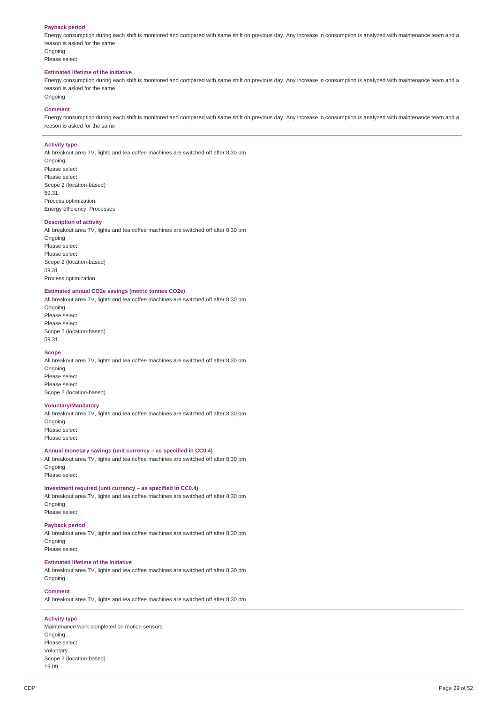### **Payback period**

Energy consumption during each shift is monitored and compared with same shift on previous day, Any increase in consumption is analyzed with maintenance team and a reason is asked for the same Ongoing

Please select

#### **Estimated lifetime of the initiative**

Energy consumption during each shift is monitored and compared with same shift on previous day, Any increase in consumption is analyzed with maintenance team and a reason is asked for the same Ongoing

#### **Comment**

Energy consumption during each shift is monitored and compared with same shift on previous day, Any increase in consumption is analyzed with maintenance team and a reason is asked for the same

#### **Activity type**

All breakout area TV, lights and tea coffee machines are switched off after 8:30 pm Ongoing Please select Please select Scope 2 (location-based) 59.31 Process optimization

Energy efficiency: Processes

#### **Description of activity**

All breakout area TV, lights and tea coffee machines are switched off after 8:30 pm

**Ongoing** Please select Please select Scope 2 (location-based) 59.31 Process optimization

#### **Estimated annual CO2e savings (metric tonnes CO2e)**

All breakout area TV, lights and tea coffee machines are switched off after 8:30 pm

Ongoing Please select Please select Scope 2 (location-based) 59.31

#### **Scope**

All breakout area TV, lights and tea coffee machines are switched off after 8:30 pm Ongoing Please select Please select Scope 2 (location-based)

#### **Voluntary/Mandatory**

All breakout area TV, lights and tea coffee machines are switched off after 8:30 pm Ongoing Please select Please select

#### **Annual monetary savings (unit currency – as specified in CC0.4)**

All breakout area TV, lights and tea coffee machines are switched off after 8:30 pm Ongoing

Please select

### **Investment required (unit currency – as specified in CC0.4)**

All breakout area TV, lights and tea coffee machines are switched off after 8:30 pm Ongoing Please select

### **Payback period**

All breakout area TV, lights and tea coffee machines are switched off after 8:30 pm **Ongoing** Please select

#### **Estimated lifetime of the initiative**

All breakout area TV, lights and tea coffee machines are switched off after 8:30 pm Ongoing

### **Comment**

All breakout area TV, lights and tea coffee machines are switched off after 8:30 pm

### **Activity type**

Maintenance work completed on motion sensors Ongoing Please select Voluntary Scope 2 (location-based) 19.09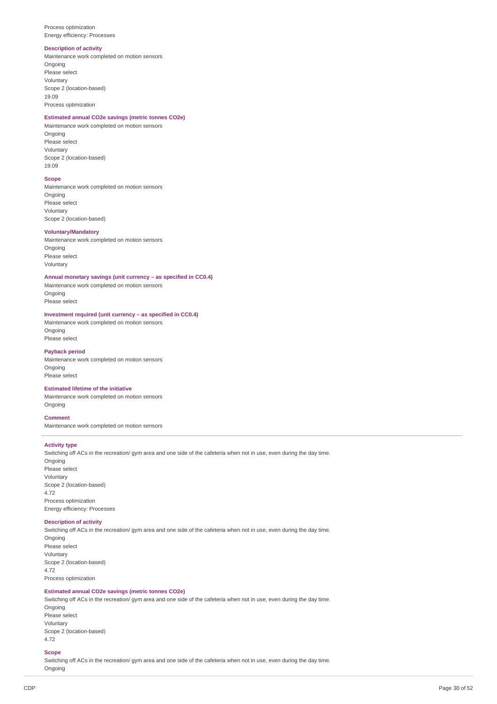Process optimization Energy efficiency: Processes

#### **Description of activity**

Maintenance work completed on motion sensors **Ongoing** Please select Voluntary Scope 2 (location-based) 19.09 Process optimization

### **Estimated annual CO2e savings (metric tonnes CO2e)**

Maintenance work completed on motion sensors Ongoing Please select Voluntary Scope 2 (location-based) 19.09

#### **Scope**

Maintenance work completed on motion sensors Ongoing Please select Voluntary Scope 2 (location-based)

### **Voluntary/Mandatory**

Maintenance work completed on motion sensors Ongoing Please select Voluntary

### **Annual monetary savings (unit currency – as specified in CC0.4)**

Maintenance work completed on motion sensors Ongoing Please select

### **Investment required (unit currency – as specified in CC0.4)**

Maintenance work completed on motion sensors Ongoing Please select

### **Payback period**

Maintenance work completed on motion sensors Ongoing Please select

#### **Estimated lifetime of the initiative**

Maintenance work completed on motion sensors Ongoing

### **Comment**

Maintenance work completed on motion sensors

#### **Activity type**

Switching off ACs in the recreation/ gym area and one side of the cafeteria when not in use, even during the day time. **Ongoing** Please select Voluntary Scope 2 (location-based) 4.72 Process optimization Energy efficiency: Processes

#### **Description of activity**

Switching off ACs in the recreation/ gym area and one side of the cafeteria when not in use, even during the day time. **Ongoing** Please select Voluntary Scope 2 (location-based) 4.72 Process optimization

### **Estimated annual CO2e savings (metric tonnes CO2e)**

Switching off ACs in the recreation/ gym area and one side of the cafeteria when not in use, even during the day time. Ongoing Please select

Voluntary Scope 2 (location-based) 4.72

### **Scope**

Switching off ACs in the recreation/ gym area and one side of the cafeteria when not in use, even during the day time. Ongoing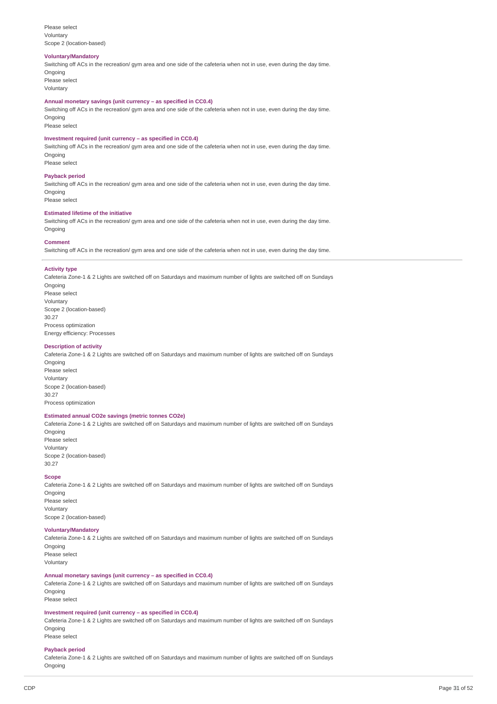#### Please select Voluntary Scope 2 (location-based)

#### **Voluntary/Mandatory**

Switching off ACs in the recreation/ gym area and one side of the cafeteria when not in use, even during the day time. Ongoing

Please select Voluntary

#### **Annual monetary savings (unit currency – as specified in CC0.4)**

Switching off ACs in the recreation/ gym area and one side of the cafeteria when not in use, even during the day time. Ongoing

Please select

### **Investment required (unit currency – as specified in CC0.4)**

Switching off ACs in the recreation/ gym area and one side of the cafeteria when not in use, even during the day time. Ongoing Please select

### **Payback period**

Switching off ACs in the recreation/ gym area and one side of the cafeteria when not in use, even during the day time. Ongoing Please select

### **Estimated lifetime of the initiative**

Switching off ACs in the recreation/ gym area and one side of the cafeteria when not in use, even during the day time. Ongoing

### **Comment**

Switching off ACs in the recreation/ gym area and one side of the cafeteria when not in use, even during the day time.

#### **Activity type**

Cafeteria Zone-1 & 2 Lights are switched off on Saturdays and maximum number of lights are switched off on Sundays Ongoing Please select Voluntary Scope 2 (location-based) 30.27 Process optimization Energy efficiency: Processes

#### **Description of activity**

Cafeteria Zone-1 & 2 Lights are switched off on Saturdays and maximum number of lights are switched off on Sundays Ongoing Please select Voluntary Scope 2 (location-based) 30.27 Process optimization

### **Estimated annual CO2e savings (metric tonnes CO2e)**

Cafeteria Zone-1 & 2 Lights are switched off on Saturdays and maximum number of lights are switched off on Sundays Ongoing Please select

Voluntary Scope 2 (location-based) 30.27

#### **Scope**

Cafeteria Zone-1 & 2 Lights are switched off on Saturdays and maximum number of lights are switched off on Sundays **Ongoing** Please select Voluntary Scope 2 (location-based)

#### **Voluntary/Mandatory**

Cafeteria Zone-1 & 2 Lights are switched off on Saturdays and maximum number of lights are switched off on Sundays Ongoing Please select Voluntary

### **Annual monetary savings (unit currency – as specified in CC0.4)**

Cafeteria Zone-1 & 2 Lights are switched off on Saturdays and maximum number of lights are switched off on Sundays Ongoing Please select

#### **Investment required (unit currency – as specified in CC0.4)**

Cafeteria Zone-1 & 2 Lights are switched off on Saturdays and maximum number of lights are switched off on Sundays Ongoing Please select

### **Payback period**

Cafeteria Zone-1 & 2 Lights are switched off on Saturdays and maximum number of lights are switched off on Sundays Ongoing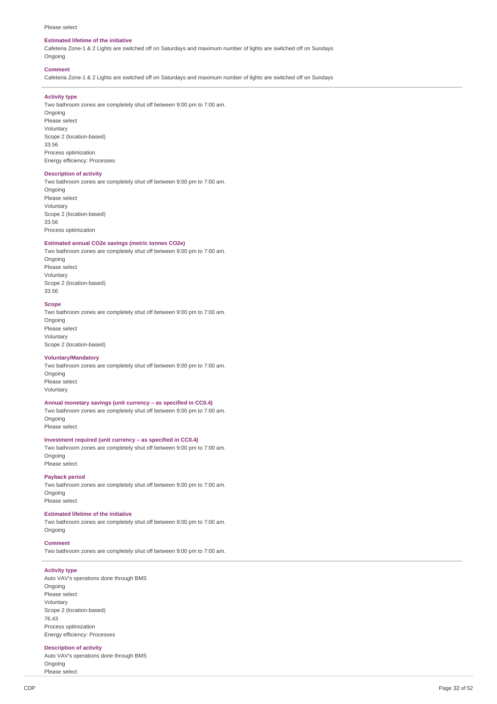#### Please select

#### **Estimated lifetime of the initiative**

Cafeteria Zone-1 & 2 Lights are switched off on Saturdays and maximum number of lights are switched off on Sundays Ongoing

#### **Comment**

Cafeteria Zone-1 & 2 Lights are switched off on Saturdays and maximum number of lights are switched off on Sundays

#### **Activity type**

Two bathroom zones are completely shut off between 9:00 pm to 7:00 am.

Ongoing Please select Voluntary Scope 2 (location-based) 33.56 Process optimization Energy efficiency: Processes

#### **Description of activity**

Two bathroom zones are completely shut off between 9:00 pm to 7:00 am.

Ongoing Please select Voluntary Scope 2 (location-based) 33.56 Process optimization

#### **Estimated annual CO2e savings (metric tonnes CO2e)**

Two bathroom zones are completely shut off between 9:00 pm to 7:00 am. Ongoing Please select Voluntary

Scope 2 (location-based) 33.56

#### **Scope**

Two bathroom zones are completely shut off between 9:00 pm to 7:00 am. **Ongoing** Please select Voluntary Scope 2 (location-based)

#### **Voluntary/Mandatory**

Two bathroom zones are completely shut off between 9:00 pm to 7:00 am. Ongoing Please select Voluntary

#### **Annual monetary savings (unit currency – as specified in CC0.4)**

Two bathroom zones are completely shut off between 9:00 pm to 7:00 am. Ongoing Please select

#### **Investment required (unit currency – as specified in CC0.4)**

Two bathroom zones are completely shut off between 9:00 pm to 7:00 am. **Ongoing** 

Please select

### **Payback period**

Two bathroom zones are completely shut off between 9:00 pm to 7:00 am. Ongoing Please select

#### **Estimated lifetime of the initiative**

Two bathroom zones are completely shut off between 9:00 pm to 7:00 am. Ongoing

#### **Comment**

Two bathroom zones are completely shut off between 9:00 pm to 7:00 am.

### **Activity type**

Auto VAV's operations done through BMS Ongoing Please select Voluntary Scope 2 (location-based) 76.43 Process optimization Energy efficiency: Processes

#### **Description of activity**

Auto VAV's operations done through BMS Ongoing Please select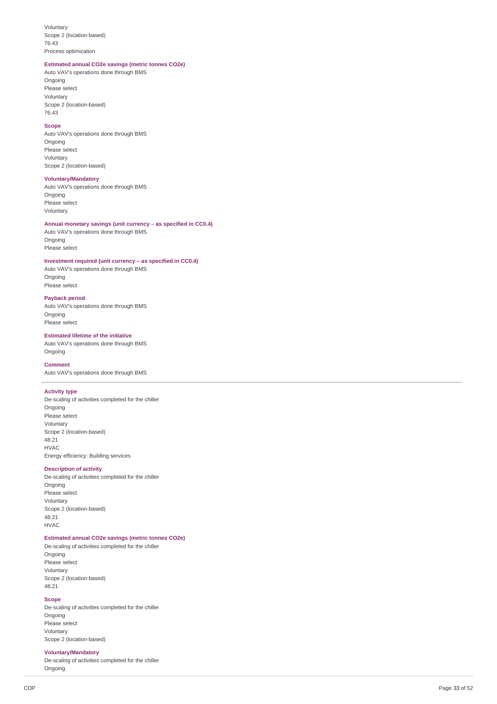Voluntary Scope 2 (location-based) 7 6.4 3 Process optimization

#### **Estimated annual CO2e savings (metric tonnes CO2e)**

Auto VAV's operations done through BMS Ongoing Please select Voluntary Scope 2 (location-based) 7 6.4 3

#### **S c o p e**

Auto VAV's operations done through BMS Ongoing Please select Voluntary Scope 2 (location-based)

#### **Voluntary/Mandatory**

Auto VAV's operations done through BMS Ongoing Please select Voluntary

### Annual monetary savings (unit currency - as specified in CC0.4)

Auto VAV's operations done through BMS Ongoing Please select

#### Investment required (unit currency - as specified in CC0.4)

Auto VAV's operations done through BMS Ongoing Please select

#### **Payback period**

Auto VAV's operations done through BMS Ongoing Please select

#### **Estimated lifetime of the initiative**

Auto VAV's operations done through BMS Ongoing

#### **Comment**

Auto VAV's operations done through BMS

#### **A c tivit y t y p e**

De-scaling of activities completed for the chiller Ongoing Please select Voluntary Scope 2 (location-based) 4 8.2 1 H V A C Energy efficiency: Building services

#### **Description of activity**

De-scaling of activities completed for the chiller Ongoing Please select Voluntary Scope 2 (location-based) 4 8.2 1 H V A C

#### **Estimated annual CO2e savings (metric tonnes CO2e)**

De-scaling of activities completed for the chiller Ongoing Please select Voluntary Scope 2 (location-based)

### 4 8.2 1 **S c o p e**

De-scaling of activities completed for the chiller Ongoing Please select Voluntary Scope 2 (location-based)

#### **Voluntary/Mandatory**

De-scaling of activities completed for the chiller Ongoing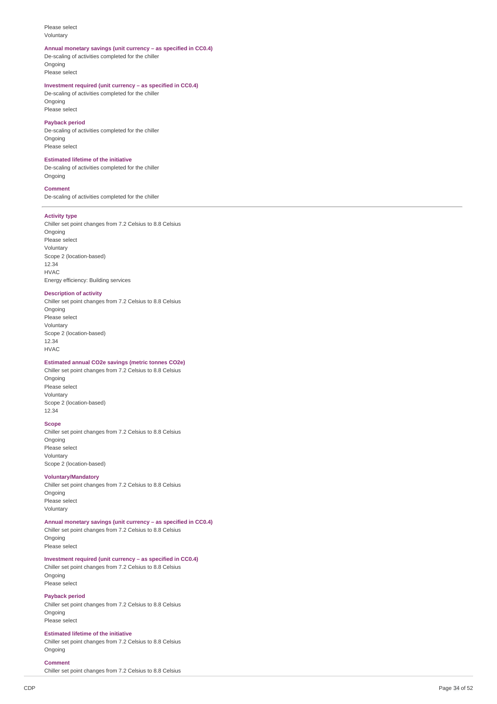#### Please select Voluntary

#### Annual monetary savings (unit currency - as specified in CC0.4)

De-scaling of activities completed for the chiller Ongoing Please select

#### Investment required (unit currency - as specified in CC0.4)

De-scaling of activities completed for the chiller Ongoing Please select

### **Payback period**

De-scaling of activities completed for the chiller Ongoing Please select

#### **Estimated lifetime of the initiative**

De-scaling of activities completed for the chiller Ongoing

#### **Comment**

De-scaling of activities completed for the chiller

#### **A c tivit y t y p e**

Chiller set point changes from 7.2 Celsius to 8.8 Celsius Ongoing Please select Voluntary Scope 2 (location-based) 1 2.3 4 H V A C Energy efficiency: Building services

#### **Description of activity**

Chiller set point changes from 7.2 Celsius to 8.8 Celsius Ongoing Please select Voluntary Scope 2 (location-based) 1 2.3 4 H V A C

### **Estimated annual CO2e savings (metric tonnes CO2e)**

Chiller set point changes from 7.2 Celsius to 8.8 Celsius Ongoing Please select Voluntary Scope 2 (location-based) 1 2.3 4

#### **S c o p e**

Chiller set point changes from 7.2 Celsius to 8.8 Celsius Ongoing Please select Voluntary Scope 2 (location-based)

#### **Voluntary/Mandatory**

Chiller set point changes from 7.2 Celsius to 8.8 Celsius Ongoing Please select Voluntary

#### Annual monetary savings (unit currency - as specified in CC0.4)

Chiller set point changes from 7.2 Celsius to 8.8 Celsius Ongoing Please select

#### Investment required (unit currency - as specified in CC0.4)

Chiller set point changes from 7.2 Celsius to 8.8 Celsius Ongoing Please select

#### **Payback period**

Chiller set point changes from 7.2 Celsius to 8.8 Celsius Ongoing Please select

#### **Estimated lifetime of the initiative**

Chiller set point changes from 7.2 Celsius to 8.8 Celsius Ongoing

#### **Comment**

Chiller set point changes from 7.2 Celsius to 8.8 Celsius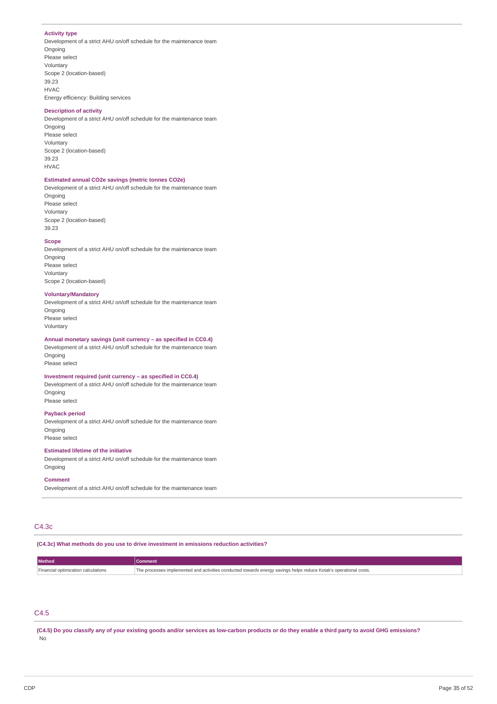### **Activity type**

Development of a strict AHU on/off schedule for the maintenance team Ongoing Please select Voluntary Scope 2 (location-based) 39.23 HVAC

#### **Description of activity**

Energy efficiency: Building services

Development of a strict AHU on/off schedule for the maintenance team Ongoing Please select Voluntary Scope 2 (location-based) 39.23 HVAC

### **Estimated annual CO2e savings (metric tonnes CO2e)**

Development of a strict AHU on/off schedule for the maintenance team Ongoing Please select

Voluntary Scope 2 (location-based) 39.23

### **Scope**

Development of a strict AHU on/off schedule for the maintenance team **Ongoing** Please select Voluntary Scope 2 (location-based)

#### **Voluntary/Mandatory**

Development of a strict AHU on/off schedule for the maintenance team **Ongoing** Please select Voluntary

#### **Annual monetary savings (unit currency – as specified in CC0.4)**

Development of a strict AHU on/off schedule for the maintenance team **Ongoing** Please select

### **Investment required (unit currency – as specified in CC0.4)**

Development of a strict AHU on/off schedule for the maintenance team Ongoing Please select

#### **Payback period**

Development of a strict AHU on/off schedule for the maintenance team Ongoing Please select

#### **Estimated lifetime of the initiative**

Development of a strict AHU on/off schedule for the maintenance team Ongoing

#### **Comment**

Development of a strict AHU on/off schedule for the maintenance team

### C4.3c

**(C4.3c) What methods do you use to drive investment in emissions reduction activities?**

| <b>Method</b>                              | mment                                                                                                           |
|--------------------------------------------|-----------------------------------------------------------------------------------------------------------------|
| <b>Einancial optimization calculations</b> | a processes implemented and activities conducted towards energy savings helps reduce Kotak's operational costs. |
|                                            |                                                                                                                 |

### C4.5

(C4.5) Do you classify any of your existing goods and/or services as low-carbon products or do they enable a third party to avoid GHG emissions? No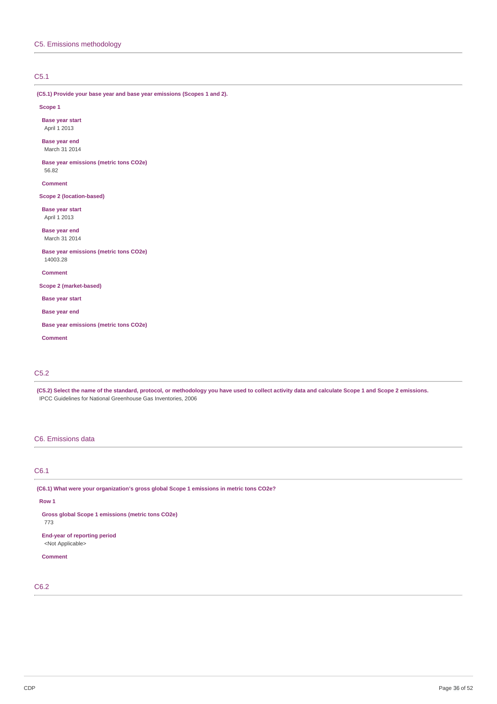### C5.1

**(C5.1) Provide your base year and base year emissions (Scopes 1 and 2).**

#### **Scope 1**

**Base year start** April 1 2013

**Base year end** March 31 2014

**Base year emissions (metric tons CO2e)** 56.82

**Comment**

**Scope 2 (location-based)**

**Base year start** April 1 2013

**Base year end** March 31 2014

**Base year emissions (metric tons CO2e)** 14003.28

**Comment**

**Scope 2 (market-based)**

**Base year start**

**Base year end**

**Base year emissions (metric tons CO2e)**

**Comment**

### C5.2

(C5.2) Select the name of the standard, protocol, or methodology you have used to collect activity data and calculate Scope 1 and Scope 2 emissions. IPCC Guidelines for National Greenhouse Gas Inventories, 2006

### C6. Emissions data

### C6.1

**(C6.1) What were your organization's gross global Scope 1 emissions in metric tons CO2e?**

#### **Row 1**

773

**Gross global Scope 1 emissions (metric tons CO2e)**

**End-year of reporting period** <Not Applicable>

### **Comment**

C6.2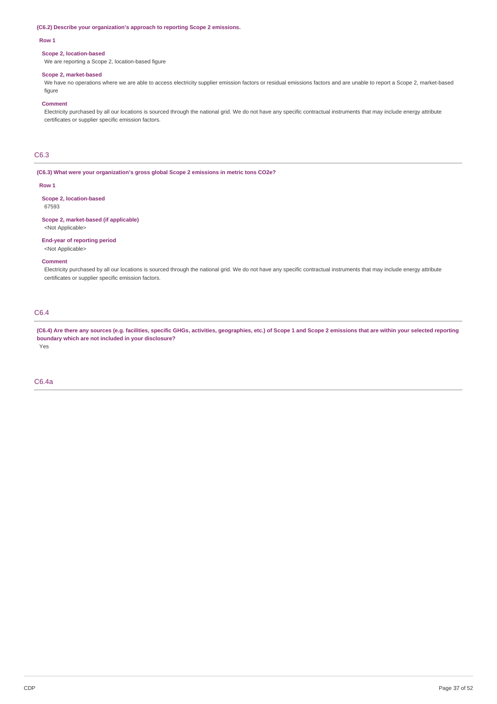#### **(C6.2) Describe your organization's approach to reporting Scope 2 emissions.**

#### **Row 1**

#### **Scope 2, location-based**

We are reporting a Scope 2, location-based figure

#### **Scope 2, market-based**

We have no operations where we are able to access electricity supplier emission factors or residual emissions factors and are unable to report a Scope 2, market-based figure

#### **Comment**

Electricity purchased by all our locations is sourced through the national grid. We do not have any specific contractual instruments that may include energy attribute certificates or supplier specific emission factors.

### C6.3

**(C6.3) What were your organization's gross global Scope 2 emissions in metric tons CO2e?**

#### **Row 1**

**Scope 2, location-based** 67593

#### **Scope 2, market-based (if applicable)** <Not Applicable>

**End-year of reporting period**

### <Not Applicable>

#### **Comment**

Electricity purchased by all our locations is sourced through the national grid. We do not have any specific contractual instruments that may include energy attribute certificates or supplier specific emission factors.

### C6.4

(C6.4) Are there any sources (e.g. facilities, specific GHGs, activities, geographies, etc.) of Scope 1 and Scope 2 emissions that are within your selected reporting **boundary which are not included in your disclosure?**

Yes

### C6.4a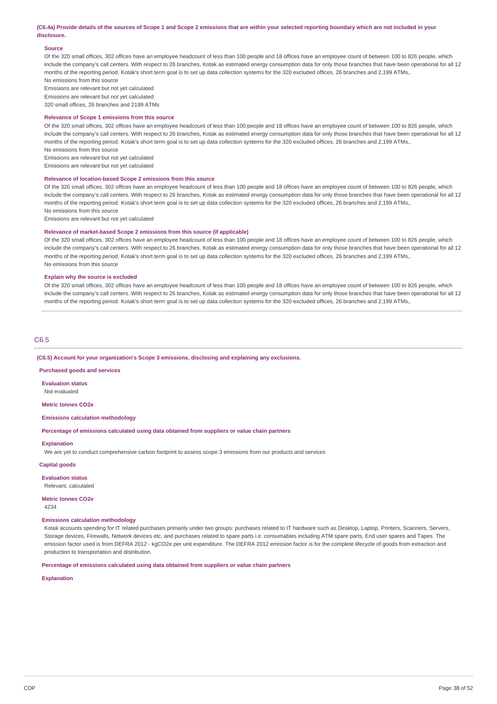#### (C6.4a) Provide details of the sources of Scope 1 and Scope 2 emissions that are within your selected reporting boundary which are not included in your **disclosure.**

#### **Source**

Of the 320 small offices, 302 offices have an employee headcount of less than 100 people and 18 offices have an employee count of between 100 to 826 people, which include the company's call centers. With respect to 26 branches, Kotak as estimated energy consumption data for only those branches that have been operational for all 12 months of the reporting period. Kotak's short term goal is to set up data collection systems for the 320 excluded offices, 26 branches and 2,199 ATMs,. No emissions from this source

Emissions are relevant but not yet calculated

Emissions are relevant but not yet calculated

320 small offices, 26 branches and 2199 ATMs

#### **Relevance of Scope 1 emissions from this source**

Of the 320 small offices, 302 offices have an employee headcount of less than 100 people and 18 offices have an employee count of between 100 to 826 people, which include the company's call centers. With respect to 26 branches, Kotak as estimated energy consumption data for only those branches that have been operational for all 12 months of the reporting period. Kotak's short term goal is to set up data collection systems for the 320 excluded offices, 26 branches and 2,199 ATMs,. No emissions from this source

Emissions are relevant but not yet calculated

Emissions are relevant but not yet calculated

#### **Relevance of location-based Scope 2 emissions from this source**

Of the 320 small offices, 302 offices have an employee headcount of less than 100 people and 18 offices have an employee count of between 100 to 826 people, which include the company's call centers. With respect to 26 branches, Kotak as estimated energy consumption data for only those branches that have been operational for all 12 months of the reporting period. Kotak's short term goal is to set up data collection systems for the 320 excluded offices, 26 branches and 2,199 ATMs,. No emissions from this source

Emissions are relevant but not yet calculated

#### **Relevance of market-based Scope 2 emissions from this source (if applicable)**

Of the 320 small offices, 302 offices have an employee headcount of less than 100 people and 18 offices have an employee count of between 100 to 826 people, which include the company's call centers. With respect to 26 branches, Kotak as estimated energy consumption data for only those branches that have been operational for all 12 months of the reporting period. Kotak's short term goal is to set up data collection systems for the 320 excluded offices, 26 branches and 2,199 ATMs,. No emissions from this source

#### **Explain why the source is excluded**

Of the 320 small offices, 302 offices have an employee headcount of less than 100 people and 18 offices have an employee count of between 100 to 826 people, which include the company's call centers. With respect to 26 branches, Kotak as estimated energy consumption data for only those branches that have been operational for all 12 months of the reporting period. Kotak's short term goal is to set up data collection systems for the 320 excluded offices, 26 branches and 2,199 ATMs,.

#### C6.5

**(C6.5) Account for your organization's Scope 3 emissions, disclosing and explaining any exclusions.**

#### **Purchased goods and services**

**Evaluation status**

Not evaluated

**Metric tonnes CO2e**

### **Emissions calculation methodology**

**Percentage of emissions calculated using data obtained from suppliers or value chain partners**

### **Explanation**

We are yet to conduct comprehensive carbon footprint to assess scope 3 emissions from our products and services

### **Capital goods**

**Evaluation status** Relevant, calculated

#### **Metric tonnes CO2e**

4234

#### **Emissions calculation methodology**

Kotak accounts spending for IT related purchases primarily under two groups: purchases related to IT hardware such as Desktop, Laptop, Printers, Scanners, Servers, Storage devices, Firewalls, Network devices etc. and purchases related to spare parts i.e. consumables including ATM spare parts, End user spares and Tapes. The emission factor used is from DEFRA 2012 - kgCO2e per unit expenditure. The DEFRA 2012 emission factor is for the complete lifecycle of goods from extraction and production to transportation and distribution.

**Percentage of emissions calculated using data obtained from suppliers or value chain partners**

**Explanation**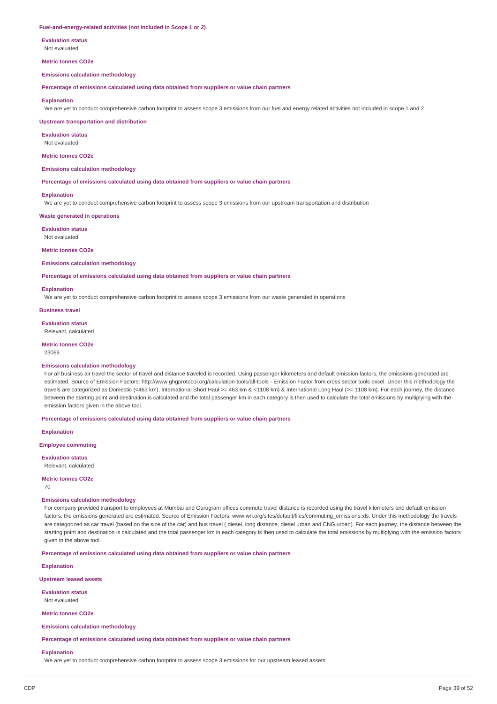#### **Fuel-and-energy-related activities (not included in Scope 1 or 2)**

**Evaluation status** Not evaluated

**Metric tonnes CO2e**

#### **Emissions calculation methodology**

**Percentage of emissions calculated using data obtained from suppliers or value chain partners**

#### **Explanation**

We are vet to conduct comprehensive carbon footprint to assess scope 3 emissions from our fuel and energy related activities not included in scope 1 and 2

**Upstream transportation and distribution**

**Evaluation status** Not evaluated

**Metric tonnes CO2e**

#### **Emissions calculation methodology**

**Percentage of emissions calculated using data obtained from suppliers or value chain partners**

#### **Explanation**

We are yet to conduct comprehensive carbon footprint to assess scope 3 emissions from our upstream transportation and distribution

**Waste generated in operations**

**Evaluation status** Not evaluated

#### **Metric tonnes CO2e**

**Emissions calculation methodology**

**Percentage of emissions calculated using data obtained from suppliers or value chain partners**

#### **Explanation**

We are yet to conduct comprehensive carbon footprint to assess scope 3 emissions from our waste generated in operations

**Business travel**

**Evaluation status**

Relevant, calculated

### **Metric tonnes CO2e**

23066

#### **Emissions calculation methodology**

For all business air travel the sector of travel and distance traveled is recorded. Using passenger kilometers and default emission factors, the emissions generated are estimated. Source of Emission Factors: http://www.ghgprotocol.org/calculation-tools/all-tools - Emission Factor from cross sector tools excel. Under this methodology the travels are categorized as Domestic (<463 km), International Short Haul >= 463 km & <1108 km) & International Long Haul (>= 1108 km). For each journey, the distance between the starting point and destination is calculated and the total passenger km in each category is then used to calculate the total emissions by multiplying with the emission factors given in the above tool.

**Percentage of emissions calculated using data obtained from suppliers or value chain partners**

**Explanation**

**Employee commuting**

**Evaluation status** Relevant, calculated

**Metric tonnes CO2e**

70

#### **Emissions calculation methodology**

For company provided transport to employees at Mumbai and Gurugram offices commute travel distance is recorded using the travel kilometers and default emission factors, the emissions generated are estimated. Source of Emission Factors: www.wri.org/sites/default/files/commuting\_emissions.xls. Under this methodology the travels are categorized as car travel (based on the size of the car) and bus travel ( diesel, long distance, diesel urban and CNG urban). For each journey, the distance between the starting point and destination is calculated and the total passenger km in each category is then used to calculate the total emissions by multiplying with the emission factors given in the above tool.

**Percentage of emissions calculated using data obtained from suppliers or value chain partners**

**Explanation**

#### **Upstream leased assets**

**Evaluation status**

Not evaluated

**Metric tonnes CO2e**

**Emissions calculation methodology**

**Percentage of emissions calculated using data obtained from suppliers or value chain partners**

#### **Explanation**

We are yet to conduct comprehensive carbon footprint to assess scope 3 emissions for our upstream leased assets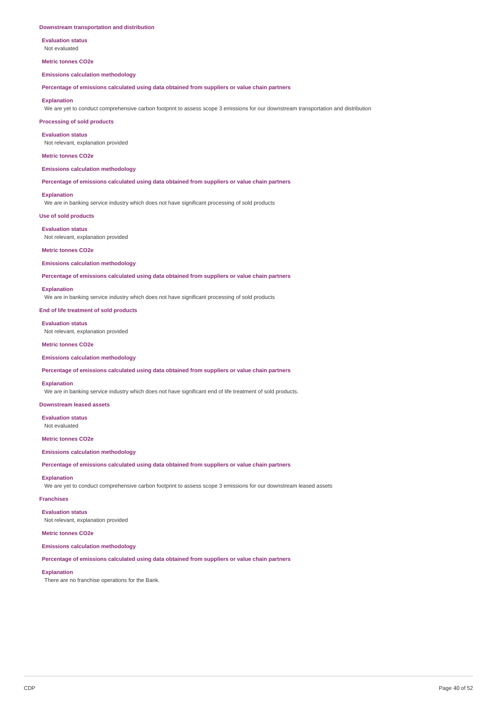#### **Downstream transportation and distribution**

**Evaluation status** Not evaluated

#### **Metric tonnes CO2e**

**Emissions calculation methodology**

**Percentage of emissions calculated using data obtained from suppliers or value chain partners**

#### **Explanation**

We are yet to conduct comprehensive carbon footprint to assess scope 3 emissions for our downstream transportation and distribution

**Processing of sold products**

#### **Evaluation status**

Not relevant, explanation provided

#### **Metric tonnes CO2e**

**Emissions calculation methodology**

**Percentage of emissions calculated using data obtained from suppliers or value chain partners**

#### **Explanation**

We are in banking service industry which does not have significant processing of sold products

**Use of sold products**

#### **Evaluation status**

Not relevant, explanation provided

#### **Metric tonnes CO2e**

#### **Emissions calculation methodology**

**Percentage of emissions calculated using data obtained from suppliers or value chain partners**

#### **Explanation**

We are in banking service industry which does not have significant processing of sold products

#### **End of life treatment of sold products**

**Evaluation status**

Not relevant, explanation provided

#### **Metric tonnes CO2e**

#### **Emissions calculation methodology**

**Percentage of emissions calculated using data obtained from suppliers or value chain partners**

#### **Explanation**

We are in banking service industry which does not have significant end of life treatment of sold products.

**Downstream leased assets**

**Evaluation status** Not evaluated

#### **Metric tonnes CO2e**

### **Emissions calculation methodology**

**Percentage of emissions calculated using data obtained from suppliers or value chain partners**

#### **Explanation**

We are yet to conduct comprehensive carbon footprint to assess scope 3 emissions for our downstream leased assets

#### **Franchises**

**Evaluation status** Not relevant, explanation provided

#### **Metric tonnes CO2e**

**Emissions calculation methodology**

**Percentage of emissions calculated using data obtained from suppliers or value chain partners**

### **Explanation**

There are no franchise operations for the Bank.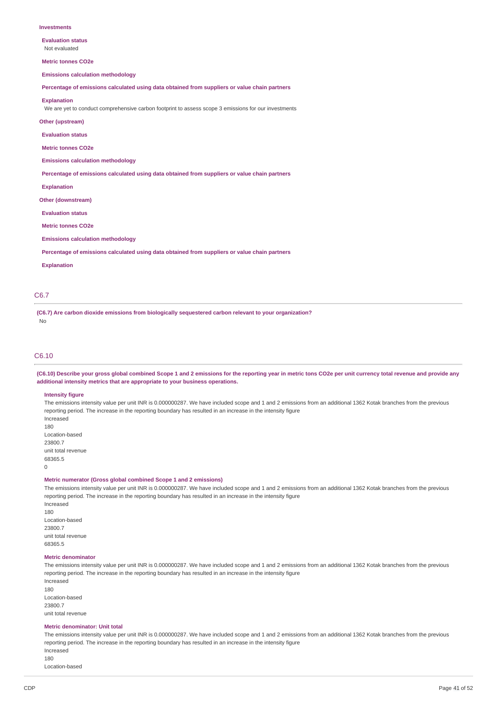**Evaluation status** Not evaluated

**Metric tonnes CO2e**

**Emissions calculation methodology**

**Percentage of emissions calculated using data obtained from suppliers or value chain partners**

#### **Explanation**

We are yet to conduct comprehensive carbon footprint to assess scope 3 emissions for our investments

#### **Other (upstream)**

**Evaluation status**

**Metric tonnes CO2e**

**Emissions calculation methodology**

**Percentage of emissions calculated using data obtained from suppliers or value chain partners**

**Explanation**

**Other (downstream)**

**Evaluation status**

**Metric tonnes CO2e**

**Emissions calculation methodology**

**Percentage of emissions calculated using data obtained from suppliers or value chain partners**

**Explanation**

#### C6.7

**(C6.7) Are carbon dioxide emissions from biologically sequestered carbon relevant to your organization?** No

### C6.10

(C6.10) Describe your gross global combined Scope 1 and 2 emissions for the reporting year in metric tons CO2e per unit currency total revenue and provide any **additional intensity metrics that are appropriate to your business operations.**

#### **Intensity figure**

The emissions intensity value per unit INR is 0.000000287. We have included scope and 1 and 2 emissions from an additional 1362 Kotak branches from the previous reporting period. The increase in the reporting boundary has resulted in an increase in the intensity figure Increased 180

Location-based 23800.7 unit total revenue 68365.5  $\theta$ 

**Metric numerator (Gross global combined Scope 1 and 2 emissions)**

The emissions intensity value per unit INR is 0.000000287. We have included scope and 1 and 2 emissions from an additional 1362 Kotak branches from the previous reporting period. The increase in the reporting boundary has resulted in an increase in the intensity figure Increased

180 Location-based 23800.7 unit total revenue 68365.5

#### **Metric denominator**

The emissions intensity value per unit INR is 0.000000287. We have included scope and 1 and 2 emissions from an additional 1362 Kotak branches from the previous reporting period. The increase in the reporting boundary has resulted in an increase in the intensity figure Increased

180 Location-based 23800.7 unit total revenue

#### **Metric denominator: Unit total**

The emissions intensity value per unit INR is 0.000000287. We have included scope and 1 and 2 emissions from an additional 1362 Kotak branches from the previous reporting period. The increase in the reporting boundary has resulted in an increase in the intensity figure Increased

180

Location-based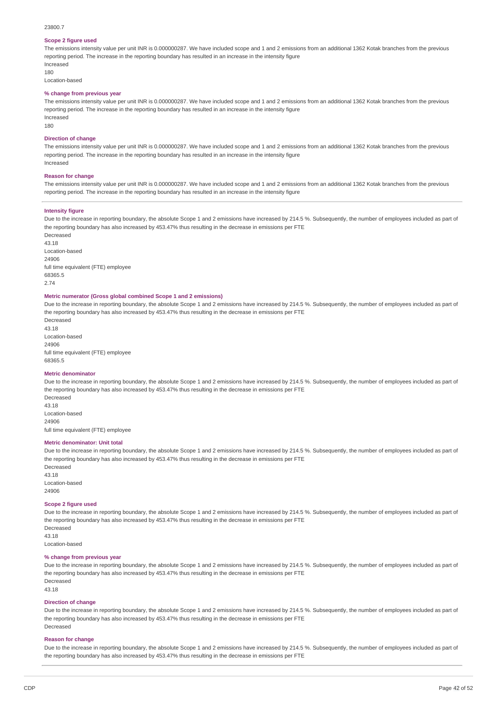### 23800.7

#### **Scope 2 figure used**

The emissions intensity value per unit INR is 0.000000287. We have included scope and 1 and 2 emissions from an additional 1362 Kotak branches from the previous reporting period. The increase in the reporting boundary has resulted in an increase in the intensity figure Increased

180

Location-based

#### **% change from previous year**

The emissions intensity value per unit INR is 0.000000287. We have included scope and 1 and 2 emissions from an additional 1362 Kotak branches from the previous reporting period. The increase in the reporting boundary has resulted in an increase in the intensity figure Increased

180

#### **Direction of change**

The emissions intensity value per unit INR is 0.000000287. We have included scope and 1 and 2 emissions from an additional 1362 Kotak branches from the previous reporting period. The increase in the reporting boundary has resulted in an increase in the intensity figure Increased

#### **Reason for change**

The emissions intensity value per unit INR is 0.000000287. We have included scope and 1 and 2 emissions from an additional 1362 Kotak branches from the previous reporting period. The increase in the reporting boundary has resulted in an increase in the intensity figure

#### **Intensity figure**

Due to the increase in reporting boundary, the absolute Scope 1 and 2 emissions have increased by 214.5 %. Subsequently, the number of employees included as part of the reporting boundary has also increased by 453.47% thus resulting in the decrease in emissions per FTE

Decreased 43.18 Location-based 24906 full time equivalent (FTE) employee 68365.5 2.74

#### **Metric numerator (Gross global combined Scope 1 and 2 emissions)**

Due to the increase in reporting boundary, the absolute Scope 1 and 2 emissions have increased by 214.5 %. Subsequently, the number of employees included as part of the reporting boundary has also increased by 453.47% thus resulting in the decrease in emissions per FTE

Decreased 43.18 Location-based 24906 full time equivalent (FTE) employee 68365.5

#### **Metric denominator**

Due to the increase in reporting boundary, the absolute Scope 1 and 2 emissions have increased by 214.5 %. Subsequently, the number of employees included as part of the reporting boundary has also increased by 453.47% thus resulting in the decrease in emissions per FTE Decreased

43.18 Location-based 24906 full time equivalent (FTE) employee

#### **Metric denominator: Unit total**

Due to the increase in reporting boundary, the absolute Scope 1 and 2 emissions have increased by 214.5 %. Subsequently, the number of employees included as part of the reporting boundary has also increased by 453.47% thus resulting in the decrease in emissions per FTE

Decreased 43.18 Location-based 24906

#### **Scope 2 figure used**

Due to the increase in reporting boundary, the absolute Scope 1 and 2 emissions have increased by 214.5 %. Subsequently, the number of employees included as part of the reporting boundary has also increased by 453.47% thus resulting in the decrease in emissions per FTE

Decreased 43.18 Location-based

#### **% change from previous year**

Due to the increase in reporting boundary, the absolute Scope 1 and 2 emissions have increased by 214.5 %. Subsequently, the number of employees included as part of the reporting boundary has also increased by 453.47% thus resulting in the decrease in emissions per FTE Decreased 43.18

### **Direction of change**

Due to the increase in reporting boundary, the absolute Scope 1 and 2 emissions have increased by 214.5 %. Subsequently, the number of employees included as part of the reporting boundary has also increased by 453.47% thus resulting in the decrease in emissions per FTE Decreased

#### **Reason for change**

Due to the increase in reporting boundary, the absolute Scope 1 and 2 emissions have increased by 214.5 %. Subsequently, the number of employees included as part of the reporting boundary has also increased by 453.47% thus resulting in the decrease in emissions per FTE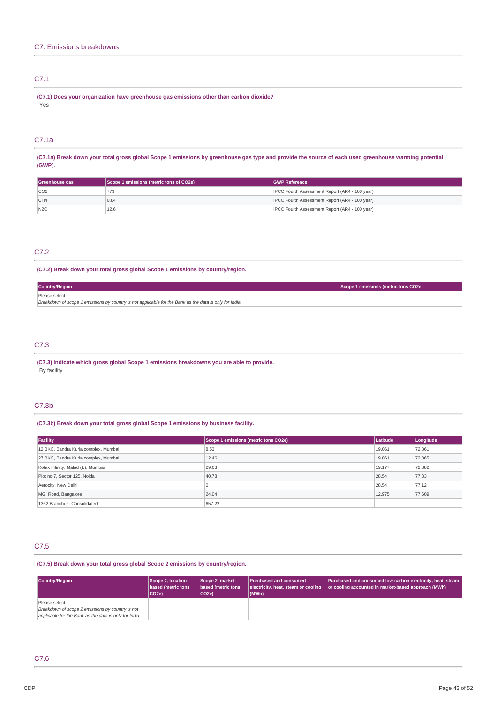### C7.1

**(C7.1) Does your organization have greenhouse gas emissions other than carbon dioxide?** Yes

### C7.1a

(C7.1a) Break down your total gross global Scope 1 emissions by greenhouse gas type and provide the source of each used greenhouse warming potential **(GWP).**

| Greenhouse gas | Scope 1 emissions (metric tons of CO2e) | <b>GWP Reference</b>                           |
|----------------|-----------------------------------------|------------------------------------------------|
| CO2            |                                         | IPCC Fourth Assessment Report (AR4 - 100 year) |
| CH4            | 0.84                                    | IPCC Fourth Assessment Report (AR4 - 100 year) |
| N2O            | 12.6                                    | IPCC Fourth Assessment Report (AR4 - 100 year) |

### C7.2

### **(C7.2) Break down your total gross global Scope 1 emissions by country/region.**

| <b>Country/Region</b>                                                                                   | Scope 1 emissions (metric tons CO2e) |
|---------------------------------------------------------------------------------------------------------|--------------------------------------|
| Please select                                                                                           |                                      |
| Breakdown of scope 1 emissions by country is not applicable for the Bank as the data is only for India. |                                      |

### C7.3

**(C7.3) Indicate which gross global Scope 1 emissions breakdowns you are able to provide.** By facility

### C7.3b

### **(C7.3b) Break down your total gross global Scope 1 emissions by business facility.**

| Facility                             | Scope 1 emissions (metric tons CO2e) | Latitude | Longitude |
|--------------------------------------|--------------------------------------|----------|-----------|
| 12 BKC, Bandra Kurla complex, Mumbai | 8.53                                 | 19.061   | 72.861    |
| 27 BKC, Bandra Kurla complex, Mumbai | 12.46                                | 19.061   | 72.865    |
| Kotak Infinity, Malad (E), Mumbai    | 29.63                                | 19.177   | 72,882    |
| Plot no 7, Sector 125, Noida         | 40.78                                | 28.54    | 77.33     |
| Aerocity, New Delhi                  |                                      | 28.54    | 77.12     |
| MG. Road, Bangalore                  | 24.04                                | 12.975   | 77,609    |
| 1362 Branches- Consolidated          | 657.22                               |          |           |

### C7.5

### **(C7.5) Break down your total gross global Scope 2 emissions by country/region.**

| Country/Region                                         | Scope 2, location-<br>based (metric tons<br>$ CO2e\rangle$ | Scope 2, market-<br>based (metric tons<br>CO <sub>2e</sub> ) | <b>Purchased and consumed</b><br>electricity, heat, steam or cooling<br>$ $ (MWh) | Purchased and consumed low-carbon electricity, heat, steam<br>or cooling accounted in market-based approach (MWh) |
|--------------------------------------------------------|------------------------------------------------------------|--------------------------------------------------------------|-----------------------------------------------------------------------------------|-------------------------------------------------------------------------------------------------------------------|
| Please select                                          |                                                            |                                                              |                                                                                   |                                                                                                                   |
| Breakdown of scope 2 emissions by country is not       |                                                            |                                                              |                                                                                   |                                                                                                                   |
| applicable for the Bank as the data is only for India. |                                                            |                                                              |                                                                                   |                                                                                                                   |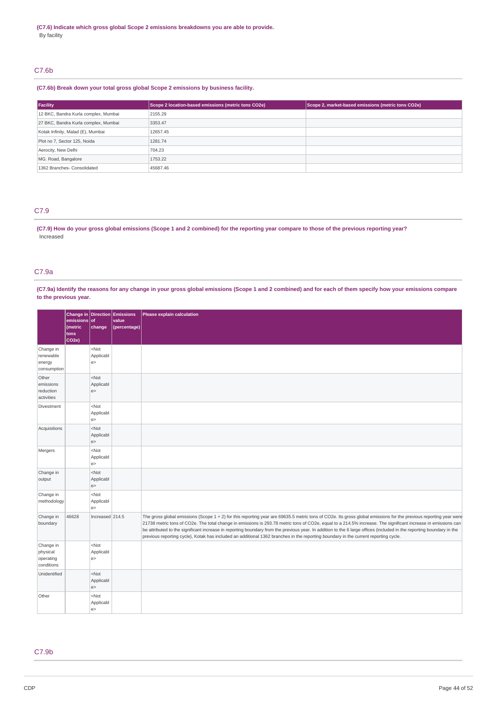### C7.6b

### **(C7.6b) Break down your total gross global Scope 2 emissions by business facility.**

| Facility                             | Scope 2 location-based emissions (metric tons CO2e) | Scope 2, market-based emissions (metric tons CO2e) |
|--------------------------------------|-----------------------------------------------------|----------------------------------------------------|
| 12 BKC, Bandra Kurla complex, Mumbai | 2155.29                                             |                                                    |
| 27 BKC, Bandra Kurla complex, Mumbai | 3353.47                                             |                                                    |
| Kotak Infinity, Malad (E), Mumbai    | 12657.45                                            |                                                    |
| Plot no 7, Sector 125, Noida         | 1281.74                                             |                                                    |
| Aerocity, New Delhi                  | 704.23                                              |                                                    |
| MG. Road, Bangalore                  | 1753.22                                             |                                                    |
| 1362 Branches- Consolidated          | 45687.46                                            |                                                    |

### C7.9

### (C7.9) How do your gross global emissions (Scope 1 and 2 combined) for the reporting year compare to those of the previous reporting year? Increased

### C7.9a

(C7.9a) Identify the reasons for any change in your gross global emissions (Scope 1 and 2 combined) and for each of them specify how your emissions compare **to the previous year.**

|                                                  | emissions of<br>(metric    | change                               | Change in Direction Emissions<br>value<br>(percentage) | Please explain calculation                                                                                                                                                                                                                                                                                                                                                                                                                                                                                                                                                                                                                         |
|--------------------------------------------------|----------------------------|--------------------------------------|--------------------------------------------------------|----------------------------------------------------------------------------------------------------------------------------------------------------------------------------------------------------------------------------------------------------------------------------------------------------------------------------------------------------------------------------------------------------------------------------------------------------------------------------------------------------------------------------------------------------------------------------------------------------------------------------------------------------|
|                                                  | tons<br>CO <sub>2e</sub> ) |                                      |                                                        |                                                                                                                                                                                                                                                                                                                                                                                                                                                                                                                                                                                                                                                    |
| Change in<br>renewable<br>energy<br>consumption  |                            | <not<br>Applicabl<br/>e&gt;</not<br> |                                                        |                                                                                                                                                                                                                                                                                                                                                                                                                                                                                                                                                                                                                                                    |
| Other<br>emissions<br>reduction<br>activities    |                            | $<$ Not<br>Applicabl<br>e            |                                                        |                                                                                                                                                                                                                                                                                                                                                                                                                                                                                                                                                                                                                                                    |
| Divestment                                       |                            | <not<br>Applicabl<br/>e&gt;</not<br> |                                                        |                                                                                                                                                                                                                                                                                                                                                                                                                                                                                                                                                                                                                                                    |
| Acquisitions                                     |                            | $<$ Not<br>Applicabl<br>e            |                                                        |                                                                                                                                                                                                                                                                                                                                                                                                                                                                                                                                                                                                                                                    |
| Mergers                                          |                            | $<$ Not<br>Applicabl<br>e>           |                                                        |                                                                                                                                                                                                                                                                                                                                                                                                                                                                                                                                                                                                                                                    |
| Change in<br>output                              |                            | $<$ Not<br>Applicabl<br>e            |                                                        |                                                                                                                                                                                                                                                                                                                                                                                                                                                                                                                                                                                                                                                    |
| Change in<br>methodology                         |                            | $<$ Not<br>Applicabl<br>e>           |                                                        |                                                                                                                                                                                                                                                                                                                                                                                                                                                                                                                                                                                                                                                    |
| Change in<br>boundary                            | 46628                      | Increased 214.5                      |                                                        | The gross global emissions (Scope 1 + 2) for this reporting year are 69635.5 metric tons of CO2e. Its gross global emissions for the previous reporting year were<br>21738 metric tons of CO2e. The total change in emissions is 293.78 metric tons of CO2e, equal to a 214.5% increase. The significant increase in emissions can<br>be attributed to the significant increase in reporting boundary from the previous year. In addition to the 6 large offices (included in the reporting boundary in the<br>previous reporting cycle), Kotak has included an additional 1362 branches in the reporting boundary in the current reporting cycle. |
| Change in<br>physical<br>operating<br>conditions |                            | $<$ Not<br>Applicabl<br>e            |                                                        |                                                                                                                                                                                                                                                                                                                                                                                                                                                                                                                                                                                                                                                    |
| Unidentified                                     |                            | $<$ Not<br>Applicabl<br>e            |                                                        |                                                                                                                                                                                                                                                                                                                                                                                                                                                                                                                                                                                                                                                    |
| Other                                            |                            | $<$ Not<br>Applicabl<br>e>           |                                                        |                                                                                                                                                                                                                                                                                                                                                                                                                                                                                                                                                                                                                                                    |

### C7.9b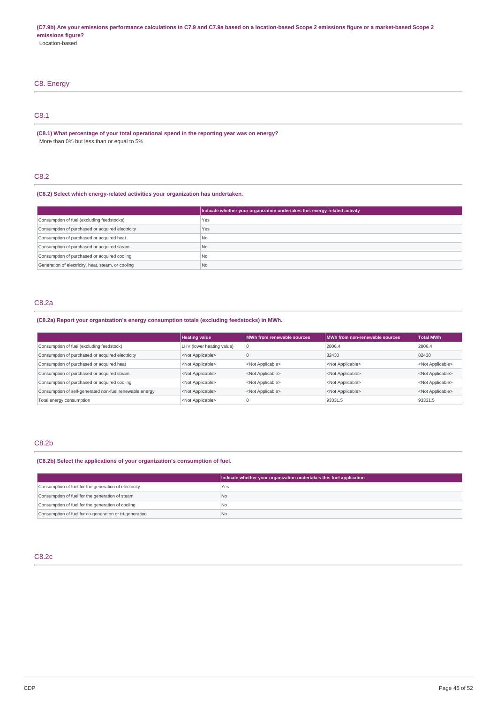# C8. Energy C8.1

**(C8.1) What percentage of your total operational spend in the reporting year was on energy?** More than 0% but less than or equal to 5%

### C8.2

**(C8.2) Select which energy-related activities your organization has undertaken.**

|                                                    | Indicate whether your organization undertakes this energy-related activity |
|----------------------------------------------------|----------------------------------------------------------------------------|
| Consumption of fuel (excluding feedstocks)         | Yes                                                                        |
| Consumption of purchased or acquired electricity   | Yes                                                                        |
| Consumption of purchased or acquired heat          | <b>No</b>                                                                  |
| Consumption of purchased or acquired steam         | No.                                                                        |
| Consumption of purchased or acquired cooling       | No.                                                                        |
| Generation of electricity, heat, steam, or cooling | l No                                                                       |

### C8.2a

**(C8.2a) Report your organization's energy consumption totals (excluding feedstocks) in MWh.**

|                                                         | <b>Heating value</b>      | MWh from renewable sources | MWh from non-renewable sources | <b>Total MWh</b>          |
|---------------------------------------------------------|---------------------------|----------------------------|--------------------------------|---------------------------|
| Consumption of fuel (excluding feedstock)               | LHV (lower heating value) | O                          | 2806.4                         | 2806.4                    |
| Consumption of purchased or acquired electricity        | <not applicable=""></not> |                            | 82430                          | 82430                     |
| Consumption of purchased or acquired heat               | <not applicable=""></not> | <not applicable=""></not>  | <not applicable=""></not>      | <not applicable=""></not> |
| Consumption of purchased or acquired steam              | <not applicable=""></not> | <not applicable=""></not>  | <not applicable=""></not>      | <not applicable=""></not> |
| Consumption of purchased or acquired cooling            | <not applicable=""></not> | <not applicable=""></not>  | <not applicable=""></not>      | <not applicable=""></not> |
| Consumption of self-generated non-fuel renewable energy | <not applicable=""></not> | <not applicable=""></not>  | <not applicable=""></not>      | <not applicable=""></not> |
| Total energy consumption                                | <not applicable=""></not> |                            | 93331.5                        | 93331.5                   |

### C8.2b

**(C8.2b) Select the applications of your organization's consumption of fuel.**

|                                                         | Indicate whether your organization undertakes this fuel application |
|---------------------------------------------------------|---------------------------------------------------------------------|
| Consumption of fuel for the generation of electricity   | Yes                                                                 |
| Consumption of fuel for the generation of steam         | <b>No</b>                                                           |
| Consumption of fuel for the generation of cooling       | I No                                                                |
| Consumption of fuel for co-generation or tri-generation | No                                                                  |

### C8.2c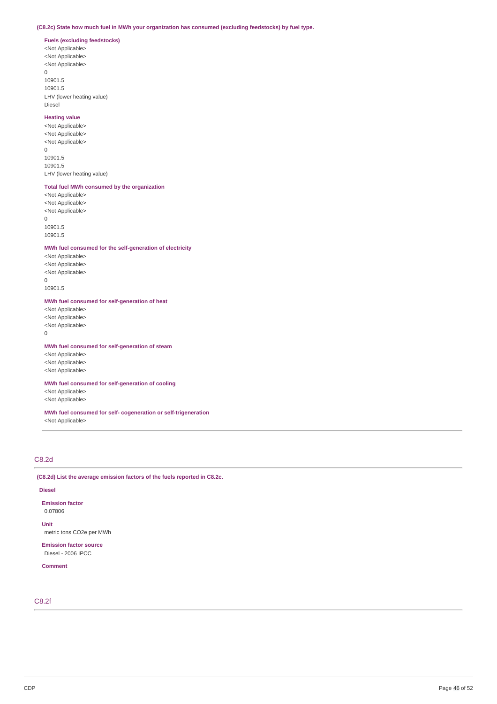### **(C8.2c) State how much fuel in MWh your organization has consumed (excluding feedstocks) by fuel type.**

### **Fuels (excluding feedstocks)**

<Not Applicable> <Not Applicable> <Not Applicable> 0 10901.5

10901.5 LHV (lower heating value) Diesel

#### **Heating value**

<Not Applicable> <Not Applicable> <Not Applicable>  $\overline{0}$ 10901.5 10901.5 LHV (lower heating value)

### **Total fuel MWh consumed by the organization**

<Not Applicable> <Not Applicable> <Not Applicable>  $\Omega$ 10901.5 10901.5

#### **MWh fuel consumed for the self-generation of electricity**

<Not Applicable> <Not Applicable> <Not Applicable>  $\Omega$ 10901.5

**MWh fuel consumed for self-generation of heat**

<Not Applicable> <Not Applicable> <Not Applicable> 0

### **MWh fuel consumed for self-generation of steam**

<Not Applicable> <Not Applicable> <Not Applicable>

**MWh fuel consumed for self-generation of cooling**

<Not Applicable> <Not Applicable>

**MWh fuel consumed for self- cogeneration or self-trigeneration** <Not Applicable>

### C8.2d

**(C8.2d) List the average emission factors of the fuels reported in C8.2c.**

#### **Diesel**

**Emission factor** 0.07806

**Unit** metric tons CO2e per MWh

**Emission factor source** Diesel - 2006 IPCC

**Comment**

### C8.2f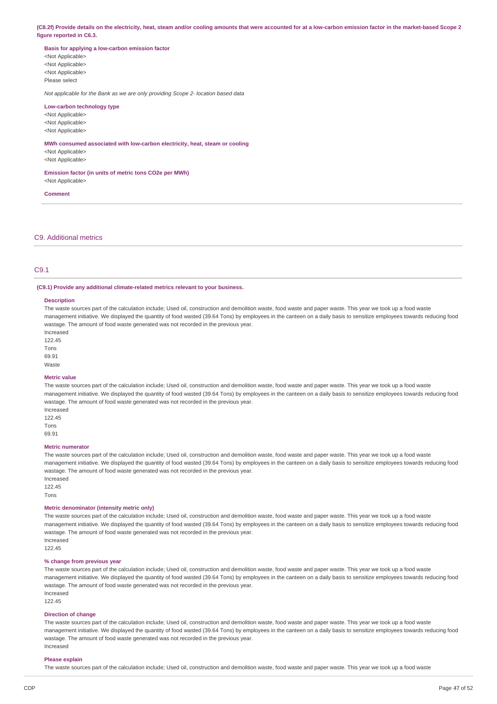(C8.2f) Provide details on the electricity, heat, steam and/or cooling amounts that were accounted for at a low-carbon emission factor in the market-based Scope 2 **figure reported in C6.3.**

**Basis for applying a low-carbon emission factor** <Not Applicable>

<Not Applicable> <Not Applicable> Please select

*Not applicable for the Bank as we are only providing Scope 2- location based data*

#### **Low-carbon technology type**

<Not Applicable> <Not Applicable> <Not Applicable>

**MWh consumed associated with low-carbon electricity, heat, steam or cooling** <Not Applicable> <Not Applicable>

**Emission factor (in units of metric tons CO2e per MWh)** <Not Applicable>

#### **Comment**

C9. Additional metrics

### C9.1

#### **(C9.1) Provide any additional climate-related metrics relevant to your business.**

#### **Description**

The waste sources part of the calculation include; Used oil, construction and demolition waste, food waste and paper waste. This year we took up a food waste management initiative. We displayed the quantity of food wasted (39.64 Tons) by employees in the canteen on a daily basis to sensitize employees towards reducing food wastage. The amount of food waste generated was not recorded in the previous year.

Increased 122.45 Tons

69.91 Waste

#### **Metric value**

The waste sources part of the calculation include; Used oil, construction and demolition waste, food waste and paper waste. This year we took up a food waste management initiative. We displayed the quantity of food wasted (39.64 Tons) by employees in the canteen on a daily basis to sensitize employees towards reducing food wastage. The amount of food waste generated was not recorded in the previous year.

Increased 122.45 Tons 69.91

#### **Metric numerator**

The waste sources part of the calculation include; Used oil, construction and demolition waste, food waste and paper waste. This year we took up a food waste management initiative. We displayed the quantity of food wasted (39.64 Tons) by employees in the canteen on a daily basis to sensitize employees towards reducing food wastage. The amount of food waste generated was not recorded in the previous year. Increased

122.45 Tons

#### **Metric denominator (intensity metric only)**

The waste sources part of the calculation include; Used oil, construction and demolition waste, food waste and paper waste. This year we took up a food waste management initiative. We displayed the quantity of food wasted (39.64 Tons) by employees in the canteen on a daily basis to sensitize employees towards reducing food wastage. The amount of food waste generated was not recorded in the previous year. Increased

122.45

#### **% change from previous year**

The waste sources part of the calculation include; Used oil, construction and demolition waste, food waste and paper waste. This year we took up a food waste management initiative. We displayed the quantity of food wasted (39.64 Tons) by employees in the canteen on a daily basis to sensitize employees towards reducing food wastage. The amount of food waste generated was not recorded in the previous year. Increased

122.45

#### **Direction of change**

The waste sources part of the calculation include; Used oil, construction and demolition waste, food waste and paper waste. This year we took up a food waste management initiative. We displayed the quantity of food wasted (39.64 Tons) by employees in the canteen on a daily basis to sensitize employees towards reducing food wastage. The amount of food waste generated was not recorded in the previous year. Increased

#### **Please explain**

The waste sources part of the calculation include; Used oil, construction and demolition waste, food waste and paper waste. This year we took up a food waste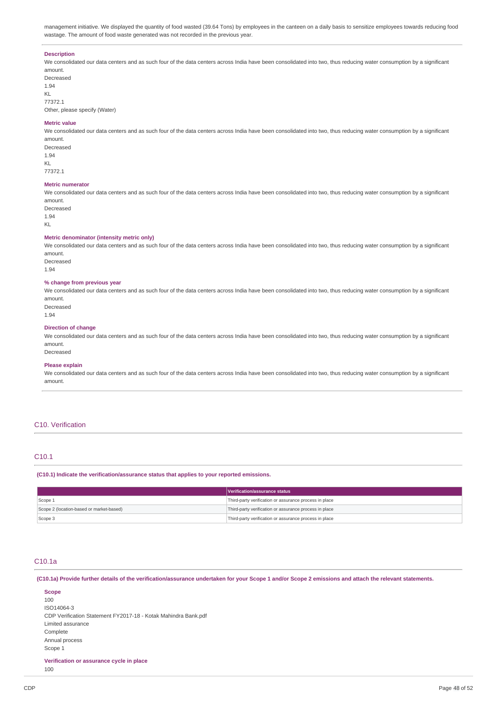management initiative. We displayed the quantity of food wasted (39.64 Tons) by employees in the canteen on a daily basis to sensitize employees towards reducing food wastage. The amount of food waste generated was not recorded in the previous year.

#### **Description**

We consolidated our data centers and as such four of the data centers across India have been consolidated into two, thus reducing water consumption by a significant amount.

Decreased 1.94 KL 77372.1 Other, please specify (Water)

#### **Metric value**

We consolidated our data centers and as such four of the data centers across India have been consolidated into two, thus reducing water consumption by a significant amount.

Decreased 1.94 KL 77372.1

#### **Metric numerator**

We consolidated our data centers and as such four of the data centers across India have been consolidated into two, thus reducing water consumption by a significant amount.

Decreased 1.94 KL

#### **Metric denominator (intensity metric only)**

We consolidated our data centers and as such four of the data centers across India have been consolidated into two, thus reducing water consumption by a significant amount.

Decreased 1.94

#### **% change from previous year**

We consolidated our data centers and as such four of the data centers across India have been consolidated into two, thus reducing water consumption by a significant amount. Decreased

| ۰.<br>۹ | ۹ |
|---------|---|
| $\sim$  |   |

#### **Direction of change**

We consolidated our data centers and as such four of the data centers across India have been consolidated into two, thus reducing water consumption by a significant amount. Decreased

### **Please explain**

We consolidated our data centers and as such four of the data centers across India have been consolidated into two, thus reducing water consumption by a significant amount.

### C10. Verification

#### C10.1

**(C10.1) Indicate the verification/assurance status that applies to your reported emissions.**

|                                          | Verification/assurance status                          |
|------------------------------------------|--------------------------------------------------------|
| Scope 1                                  | Third-party verification or assurance process in place |
| Scope 2 (location-based or market-based) | Third-party verification or assurance process in place |
| Scope 3                                  | Third-party verification or assurance process in place |

### C10.1a

(C10.1a) Provide further details of the verification/assurance undertaken for your Scope 1 and/or Scope 2 emissions and attach the relevant statements.

**Scope** 100 ISO14064-3 CDP Verification Statement FY2017-18 - Kotak Mahindra Bank.pdf Limited assurance **Complete** Annual process Scope 1

**Verification or assurance cycle in place**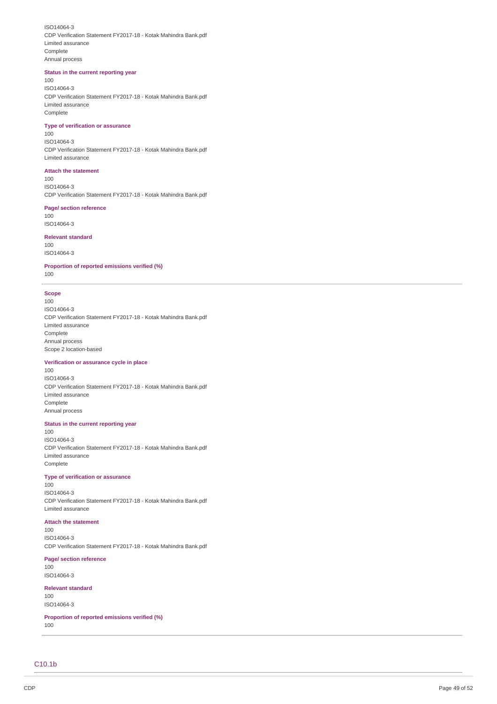ISO14064-3 CDP Verification Statement FY2017-18 - Kotak Mahindra Bank.pdf Limited assurance Complete Annual process

#### Status in the current reporting year

1 0 0 ISO14064-3 CDP Verification Statement FY2017-18 - Kotak Mahindra Bank.pdf Limited assurance Complete

#### **Type of verification or assurance**

1 0 0 ISO14064-3 CDP Verification Statement FY2017-18 - Kotak Mahindra Bank.pdf Limited assurance

#### **Attach the statement**

1 0 0 ISO14064-3 CDP Verification Statement FY2017-18 - Kotak Mahindra Bank.pdf

#### **Page/ section reference**

1 0 0 ISO14064-3

#### **Relevant standard**

1 0 0 ISO14064-3

Proportion of reported emissions verified (%)

#### 1 0 0

#### **S c o p e**

1 0 0 ISO14064-3 CDP Verification Statement FY2017-18 - Kotak Mahindra Bank.pdf Limited assurance Complete Annual process Scope 2 location-based

#### Verification or assurance cycle in place

1 0 0 ISO14064-3 CDP Verification Statement FY2017-18 - Kotak Mahindra Bank.pdf Limited assurance Complete Annual process

#### Status in the current reporting year

1 0 0 ISO14064-3 CDP Verification Statement FY2017-18 - Kotak Mahindra Bank.pdf Limited assurance Complete

#### **Type of verification or assurance**

1 0 0 ISO14064-3 CDP Verification Statement FY2017-18 - Kotak Mahindra Bank.pdf Limited assurance

#### **Attach the statement**

1 0 0 ISO14064-3 CDP Verification Statement FY2017-18 - Kotak Mahindra Bank.pdf

#### **Page/ section reference**

1 0 0 ISO14064-3

### **Relevant standard**

1 0 0 ISO14064-3

Proportion of reported emissions verified (%)

1 0 0

C<sub>10</sub>.1b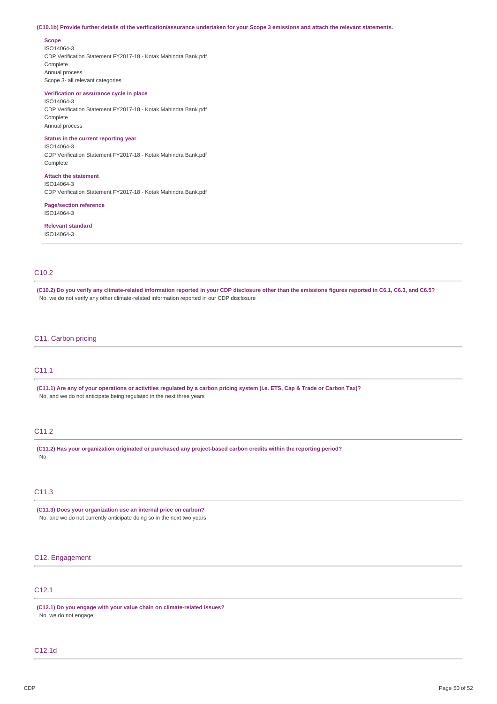#### (C10.1b) Provide further details of the verification/assurance undertaken for your Scope 3 emissions and attach the relevant statements.

**Scope**

ISO14064-3 CDP Verification Statement FY2017-18 - Kotak Mahindra Bank.pdf Complete Annual process Scope 3- all relevant categories

### **Verification or assurance cycle in place**

ISO14064-3 CDP Verification Statement FY2017-18 - Kotak Mahindra Bank.pdf Complete Annual process

### **Status in the current reporting year**

ISO14064-3 CDP Verification Statement FY2017-18 - Kotak Mahindra Bank.pdf **Complete** 

#### **Attach the statement** ISO14064-3

CDP Verification Statement FY2017-18 - Kotak Mahindra Bank.pdf

### **Page/section reference** ISO14064-3

# **Relevant standard**

ISO14064-3

### C10.2

(C10.2) Do you verify any climate-related information reported in your CDP disclosure other than the emissions figures reported in C6.1, C6.3, and C6.5? No, we do not verify any other climate-related information reported in our CDP disclosure

### C11. Carbon pricing

### C11.1

(C11.1) Are any of your operations or activities regulated by a carbon pricing system (i.e. ETS, Cap & Trade or Carbon Tax)? No, and we do not anticipate being regulated in the next three years

### C11.2

**(C11.2) Has your organization originated or purchased any project-based carbon credits within the reporting period?** No

### C11.3

**(C11.3) Does your organization use an internal price on carbon?** No, and we do not currently anticipate doing so in the next two years

### C12. Engagement

### C12.1

**(C12.1) Do you engage with your value chain on climate-related issues?** No, we do not engage

### C12.1d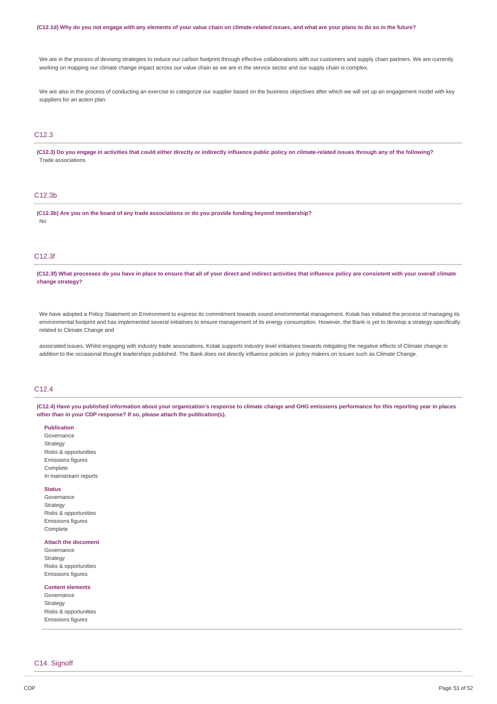#### (C12.1d) Why do you not engage with any elements of your value chain on climate-related issues, and what are your plans to do so in the future?

We are in the process of devising strategies to reduce our carbon footprint through effective collaborations with our customers and supply chain partners. We are currently working on mapping our climate change impact across our value chain as we are in the service sector and our supply chain is complex.

We are also in the process of conducting an exercise to categorize our supplier based on the business objectives after which we will set up an engagement model with key suppliers for an action plan.

### C12.3

(C12.3) Do you engage in activities that could either directly or indirectly influence public policy on climate-related issues through any of the following? Trade associations

#### C12.3b

**(C12.3b) Are you on the board of any trade associations or do you provide funding beyond membership?** No

### C12.3f

(C12.3f) What processes do you have in place to ensure that all of your direct and indirect activities that influence policy are consistent with your overall climate **change strategy?**

We have adopted a Policy Statement on Environment to express its commitment towards sound environmental management. Kotak has initiated the process of managing its environmental footprint and has implemented several initiatives to ensure management of its energy consumption. However, the Bank is yet to develop a strategy specifically related to Climate Change and

associated issues. Whilst engaging with industry trade associations. Kotak supports industry level initiatives towards mitigating the negative effects of Climate change in addition to the occasional thought leaderships published. The Bank does not directly influence policies or policy makers on issues such as Climate Change.

### C12.4

(C12.4) Have you published information about your organization's response to climate change and GHG emissions performance for this reporting year in places **other than in your CDP response? If so, please attach the publication(s).**

#### **Publication**

Governance Strategy Risks & opportunities Emissions figures Complete In mainstream reports

#### **Status**

Governance **Strategy** Risks & opportunities Emissions figures Complete

#### **Attach the document**

Governance Strategy Risks & opportunities Emissions figures

#### **Content elements**

Governance **Strategy** Risks & opportunities Emissions figures